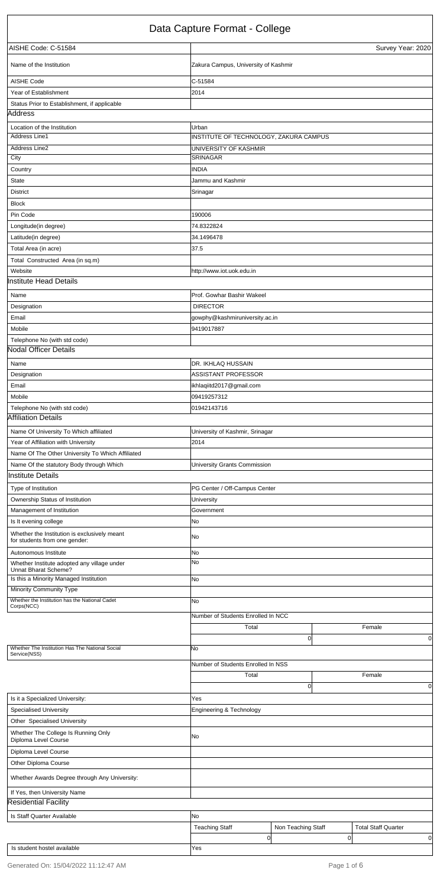|                                                             | Number of Students Enrolled In NSS |                    |                            |
|-------------------------------------------------------------|------------------------------------|--------------------|----------------------------|
|                                                             | Total                              |                    | Female                     |
|                                                             |                                    | $\mathbf{0}$       | 0                          |
| Is it a Specialized University:                             | Yes                                |                    |                            |
| <b>Specialised University</b>                               | Engineering & Technology           |                    |                            |
| Other Specialised University                                |                                    |                    |                            |
| Whether The College Is Running Only<br>Diploma Level Course | No.                                |                    |                            |
| Diploma Level Course                                        |                                    |                    |                            |
| Other Diploma Course                                        |                                    |                    |                            |
| Whether Awards Degree through Any University:               |                                    |                    |                            |
| If Yes, then University Name                                |                                    |                    |                            |
| <b>Residential Facility</b>                                 |                                    |                    |                            |
| Is Staff Quarter Available                                  | No                                 |                    |                            |
|                                                             | <b>Teaching Staff</b>              | Non Teaching Staff | <b>Total Staff Quarter</b> |
|                                                             | 0                                  |                    | $\overline{0}$<br>0        |
| Is student hostel available                                 | Yes                                |                    |                            |

|                                                                               | Data Capture Format - College           |
|-------------------------------------------------------------------------------|-----------------------------------------|
| AISHE Code: C-51584                                                           | Survey Year: 2020                       |
| Name of the Institution                                                       | Zakura Campus, University of Kashmir    |
| <b>AISHE Code</b>                                                             | $C-51584$                               |
| Year of Establishment                                                         | 2014                                    |
| Status Prior to Establishment, if applicable                                  |                                         |
| Address                                                                       |                                         |
| Location of the Institution                                                   | Urban                                   |
| Address Line1                                                                 | INSTITUTE OF TECHNOLOGY, ZAKURA CAMPUS  |
| <b>Address Line2</b>                                                          | UNIVERSITY OF KASHMIR                   |
| City                                                                          | SRINAGAR                                |
| Country                                                                       | <b>INDIA</b>                            |
| <b>State</b>                                                                  | Jammu and Kashmir                       |
| <b>District</b>                                                               | Srinagar                                |
| <b>Block</b>                                                                  |                                         |
| Pin Code                                                                      | 190006                                  |
| Longitude(in degree)                                                          | 74.8322824                              |
| Latitude(in degree)                                                           | 34.1496478                              |
| Total Area (in acre)                                                          | 37.5                                    |
| Total Constructed Area (in sq.m)                                              |                                         |
| Website                                                                       | http://www.iot.uok.edu.in               |
| <b>Institute Head Details</b>                                                 |                                         |
| Name                                                                          | Prof. Gowhar Bashir Wakeel              |
| Designation                                                                   | <b>DIRECTOR</b>                         |
| Email                                                                         | gowphy@kashmiruniversity.ac.in          |
| Mobile                                                                        | 9419017887                              |
| Telephone No (with std code)                                                  |                                         |
| <b>Nodal Officer Details</b>                                                  |                                         |
| Name                                                                          | DR. IKHLAQ HUSSAIN                      |
| Designation                                                                   | ASSISTANT PROFESSOR                     |
| Email                                                                         |                                         |
| Mobile                                                                        | ikhlaqiitd2017@gmail.com<br>09419257312 |
| Telephone No (with std code)                                                  | 01942143716                             |
| <b>Affiliation Details</b>                                                    |                                         |
|                                                                               |                                         |
| Name Of University To Which affiliated                                        | University of Kashmir, Srinagar         |
| Year of Affiliation with University                                           | 2014                                    |
| Name Of The Other University To Which Affiliated                              |                                         |
| Name Of the statutory Body through Which                                      | University Grants Commission            |
| <b>Institute Details</b>                                                      |                                         |
| Type of Institution                                                           | PG Center / Off-Campus Center           |
| Ownership Status of Institution                                               | University                              |
| Management of Institution                                                     | Government                              |
| Is It evening college                                                         | No                                      |
| Whether the Institution is exclusively meant<br>for students from one gender: | No                                      |
| Autonomous Institute                                                          | No                                      |
| Whether Institute adopted any village under<br>Unnat Bharat Scheme?           | No                                      |
| Is this a Minority Managed Institution                                        | No                                      |
| <b>Minority Community Type</b>                                                |                                         |
| Whether the Institution has the National Cadet                                | No                                      |
| Corps(NCC)                                                                    |                                         |
|                                                                               | Number of Students Enrolled In NCC      |
|                                                                               | Total<br>Female                         |
| Whether The Institution Has The National Social                               | 0<br>No                                 |
| Service(NSS)                                                                  |                                         |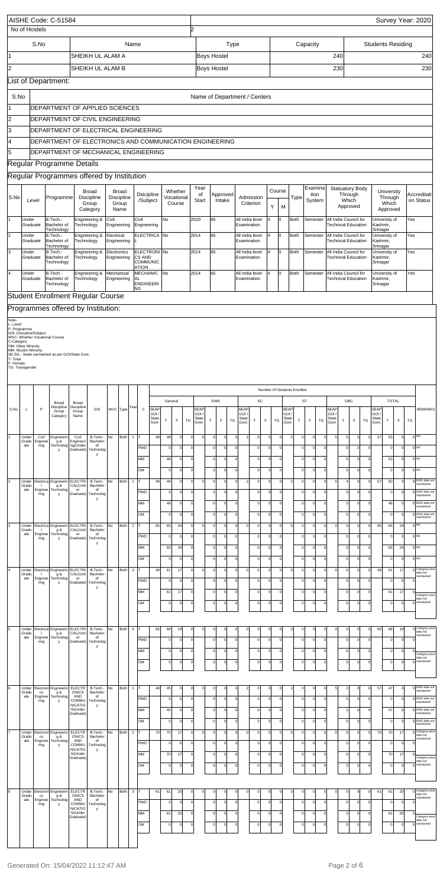|                                     |                                                      | No of Hostels                                  | AISHE Code: C-51584                                                                             |                                                 |                                            |            |                                     |                |                                                           |                      |                   |                                 | 2                          |                              |                            |                    |                            |                       |                                |                      |                      |                         |                                            |                            |                               |                                     |                      |                                                     |                            |                          |                                |                            |          | Survey Year: 2020                                |
|-------------------------------------|------------------------------------------------------|------------------------------------------------|-------------------------------------------------------------------------------------------------|-------------------------------------------------|--------------------------------------------|------------|-------------------------------------|----------------|-----------------------------------------------------------|----------------------|-------------------|---------------------------------|----------------------------|------------------------------|----------------------------|--------------------|----------------------------|-----------------------|--------------------------------|----------------------|----------------------|-------------------------|--------------------------------------------|----------------------------|-------------------------------|-------------------------------------|----------------------|-----------------------------------------------------|----------------------------|--------------------------|--------------------------------|----------------------------|----------|--------------------------------------------------|
| 11                                  |                                                      | S.No                                           |                                                                                                 |                                                 | SHEIKH UL ALAM A                           |            |                                     | Name           |                                                           |                      |                   |                                 |                            | Boys Hostel                  |                            |                    | Type                       |                       |                                |                      |                      |                         |                                            | Capacity                   |                               |                                     | 240                  |                                                     |                            | <b>Students Residing</b> |                                |                            |          | 240                                              |
| 2                                   |                                                      |                                                |                                                                                                 |                                                 | SHEIKH UL ALAM B                           |            |                                     |                |                                                           |                      |                   |                                 |                            | <b>Boys Hostel</b>           |                            |                    |                            |                       |                                |                      |                      |                         |                                            |                            |                               |                                     | 230                  |                                                     |                            |                          |                                |                            |          | 230                                              |
|                                     |                                                      |                                                | List of Department:                                                                             |                                                 |                                            |            |                                     |                |                                                           |                      |                   |                                 |                            |                              |                            |                    |                            |                       |                                |                      |                      |                         |                                            |                            |                               |                                     |                      |                                                     |                            |                          |                                |                            |          |                                                  |
| S.No                                |                                                      |                                                | DEPARTMENT OF APPLIED SCIENCES                                                                  |                                                 |                                            |            |                                     |                |                                                           |                      |                   |                                 |                            | Name of Department / Centers |                            |                    |                            |                       |                                |                      |                      |                         |                                            |                            |                               |                                     |                      |                                                     |                            |                          |                                |                            |          |                                                  |
| 2                                   |                                                      |                                                | DEPARTMENT OF CIVIL ENGINEERING                                                                 |                                                 |                                            |            |                                     |                |                                                           |                      |                   |                                 |                            |                              |                            |                    |                            |                       |                                |                      |                      |                         |                                            |                            |                               |                                     |                      |                                                     |                            |                          |                                |                            |          |                                                  |
| 13                                  |                                                      |                                                | DEPARTMENT OF ELECTRICAL ENGINEERING                                                            |                                                 |                                            |            |                                     |                |                                                           |                      |                   |                                 |                            |                              |                            |                    |                            |                       |                                |                      |                      |                         |                                            |                            |                               |                                     |                      |                                                     |                            |                          |                                |                            |          |                                                  |
| 4<br>5                              |                                                      |                                                | DEPARTMENT OF ELECTRONICS AND COMMUNICATION ENGINEERING<br>DEPARTMENT OF MECHANICAL ENGINEERING |                                                 |                                            |            |                                     |                |                                                           |                      |                   |                                 |                            |                              |                            |                    |                            |                       |                                |                      |                      |                         |                                            |                            |                               |                                     |                      |                                                     |                            |                          |                                |                            |          |                                                  |
|                                     |                                                      |                                                | Regular Programme Details                                                                       |                                                 |                                            |            |                                     |                |                                                           |                      |                   |                                 |                            |                              |                            |                    |                            |                       |                                |                      |                      |                         |                                            |                            |                               |                                     |                      |                                                     |                            |                          |                                |                            |          |                                                  |
|                                     |                                                      |                                                | Regular Programmes offered by Institution                                                       |                                                 |                                            |            |                                     |                |                                                           |                      |                   |                                 |                            |                              |                            |                    |                            |                       |                                |                      |                      |                         |                                            |                            |                               |                                     |                      |                                                     |                            |                          |                                |                            |          |                                                  |
| S.No                                |                                                      | Level                                          | Programme                                                                                       |                                                 | <b>Broad</b><br><b>Discipline</b><br>Group |            | <b>Broad</b><br>Discipline<br>Group |                | Dsicipline<br>/Subject                                    |                      |                   | Whether<br>Vocational<br>Course |                            | Year<br>of<br>Start          |                            | Approved<br>Intake |                            |                       | Admission<br>Criterion         |                      | Course<br>Υ          | M                       | Type                                       | System                     | Examina<br>tion               |                                     |                      | Statuatory Body<br>Through<br>Which<br>Approved     |                            |                          | University<br>Through<br>Which |                            |          | Accreditati<br>on Status                         |
|                                     | Under                                                |                                                | B.Tech.-                                                                                        |                                                 | Category<br>Engineering &                  | Civil      | Name                                |                | Civil                                                     |                      | No                |                                 |                            | 2020                         | 65                         |                    |                            |                       | All India level                | 4                    | lo.                  |                         | <b>Both</b>                                | Semester                   |                               |                                     |                      | All India Council for                               |                            |                          | Approved<br>University of      |                            | Yes      |                                                  |
| 2                                   | Under                                                | Graduate                                       | Bachelor of<br>Technology<br>B.Tech.-                                                           |                                                 | Technology<br>Engineering &                | Electrical | Engineering                         |                | Engineering<br>ELECTRICA No                               |                      |                   |                                 |                            | 2014                         | 65                         |                    |                            |                       | Examination<br>All India level |                      | l0                   |                         | <b>Both</b>                                | Semester                   |                               |                                     |                      | <b>Technical Education</b><br>All India Council for |                            | Kashmir,<br>Srinagar     | University of                  |                            | Yes      |                                                  |
|                                     |                                                      | Graduate                                       | Bachelor of<br>Technology                                                                       |                                                 | Technology                                 |            | Engineering                         |                |                                                           |                      |                   |                                 |                            |                              |                            |                    |                            |                       | Examination                    |                      |                      |                         |                                            |                            |                               |                                     |                      | <b>Technical Education</b>                          |                            | Kashmir,<br>Srinagar     |                                |                            |          |                                                  |
| lз                                  | Under                                                | Graduate                                       | B.Tech.-<br>Bachelor of<br>Technology                                                           |                                                 | Engineering &<br>Technology                |            | Electronics<br>Engineering          |                | ELECTRONI No<br>CS AND<br><b>COMMUNIC</b><br><b>ATION</b> |                      |                   |                                 |                            | 2014                         | 65                         |                    |                            |                       | All India level<br>Examination |                      | 10                   |                         | <b>Both</b>                                | Semester                   |                               |                                     |                      | All India Council for<br><b>Technical Education</b> |                            | Kashmir,<br>Srinagar     | University of                  |                            | Yes      |                                                  |
| 4                                   | Under                                                | Graduate                                       | B.Tech.-<br>Bachelor of<br>Technology                                                           |                                                 | Engineering &<br>Technology                |            | Mechanical<br>Engineering           |                | <b>MECHANIC</b><br>AL<br><b>ENGINEERI</b><br><b>NG</b>    |                      | No                |                                 |                            | 2014                         | 65                         |                    |                            |                       | All India level<br>Examination | 4                    | IО                   |                         | <b>Both</b>                                | Semester                   |                               |                                     |                      | All India Council for<br><b>Technical Education</b> |                            | Kashmir,                 | University of                  |                            | Yes      |                                                  |
|                                     |                                                      |                                                | <b>Student Enrollment Regular Course</b><br>Programmes offered by Institution:                  |                                                 |                                            |            |                                     |                |                                                           |                      |                   | Srinagar                        |                            |                              |                            |                    |                            |                       |                                |                      |                      |                         |                                            |                            |                               |                                     |                      |                                                     |                            |                          |                                |                            |          |                                                  |
| C-Category<br>T- Total<br>F- Female | P- Programme<br>OM- Other Minority<br>TG-Transgender | D/S- Discipline/Subject<br>MM- Muslim Minority | WVC- Whether Vocational Course<br>SE-SG - Seats earmarked as per GOI/State Govt.                |                                                 |                                            |            |                                     |                |                                                           |                      |                   |                                 |                            |                              |                            |                    |                            |                       |                                |                      |                      |                         |                                            |                            |                               |                                     |                      |                                                     |                            |                          |                                |                            |          |                                                  |
| S.No                                | L                                                    | $\mathsf{P}$                                   | Broad<br>Discipline                                                                             | Broad<br>Discipline                             | D/S                                        |            | WVC Type Year                       |                | $\mathsf C$                                               | SEAP                 | General           |                                 |                            | <b>SEAF</b>                  | <b>EWS</b>                 |                    |                            | <b>SEAF</b>           | SC                             |                      |                      | <b>SEAP</b>             | Number Of Students Enrolled                | <b>ST</b>                  |                               | <b>SEAF</b>                         |                      | OBC                                                 |                            | <b>SEAF</b>              |                                | <b>TOTAL</b>               |          | <b>REMARKS</b>                                   |
|                                     |                                                      |                                                | Group<br>Category                                                                               | Group<br>Name                                   |                                            |            |                                     |                |                                                           | GOI<br>State<br>Govt | $\mathsf{T}$      | F                               | TG                         | <b>GOI</b><br>State<br>Govt. | T                          | F                  | TG                         | GOI<br>State<br>Govt. | T                              | F                    | TG                   | GOI /<br>State<br>Govt. | T                                          | F                          | TG                            | <b>GOI</b><br><b>State</b><br>Govt. | T.                   | F                                                   | TG                         | GOI.<br>State<br>Govt    | $\top$                         | F.                         | TG       |                                                  |
|                                     | Under<br>Gradu<br>ate                                | Civil<br>Enginee<br>ring                       | Engineerin<br>g &<br>Technolog<br><b>V</b>                                                      | Civil<br>Engineeri<br>ng(Under<br>Graduate)     | B.Tech.-<br>Bachelor<br>of<br>Technolog    | No         | Both                                | $\mathbf{1}$   | <b>PWD</b>                                                | 48                   | 48<br>$\mathbf 0$ | $\mathbf 0$<br>$\mathbf 0$      | $\mathbf 0$<br>$\mathbf 0$ | $\overline{0}$               | $\mathbf 0$<br>$\Omega$    | $\circ$<br>0       | $\circ$<br>$\mathbf 0$     | $\overline{2}$        | $\mathbf 0$<br>$\mathbf 0$     | $\Omega$<br>$\Omega$ | $\Omega$             |                         | $\Omega$<br>2<br>C                         | $\mathbf 0$<br>$\mathbf 0$ | $\mathbf 0$<br>$\overline{0}$ | 5                                   | 5<br>$\Omega$        | $\Omega$<br>$\Omega$                                | $\mathbf 0$<br>$\mathbf 0$ | 57                       | 53<br>$\mathbf 0$              | $\mathbf 0$<br>$\mathbf 0$ |          | 0 <sup>NA</sup><br>0 <sub>NA</sub>               |
|                                     |                                                      |                                                |                                                                                                 |                                                 | у                                          |            |                                     |                | MM<br>OM                                                  |                      | 48<br>$\mathbf 0$ | $\mathbf 0$<br>$\mathbf 0$      | $\Omega$<br>$\Omega$       |                              | $\mathbf 0$<br>$\mathbf 0$ | 0<br>0             | $\mathbf 0$<br>$\mathbf 0$ |                       | $\mathbf 0$<br>$\mathbf 0$     | $\Omega$             | $\Omega$<br>$\Omega$ |                         | $\mathbf 0$<br>$\mathbf 0$                 | $\mathbf 0$<br>$\mathbf 0$ | $\circ$<br>$\mathbf 0$        |                                     | 5<br>$\Omega$        | $\circ$<br>$\circ$                                  | $\mathbf 0$<br>$\Omega$    |                          | 53<br>$\mathbf 0$              | $\Omega$<br>$\Omega$       |          | 0 <sub>NA</sub><br>0 <sub>NA</sub>               |
| 2                                   | Under<br>Gradu                                       | -11                                            | Electrica Engineerin<br>g &                                                                     | <b>ELECTRI</b><br>CAL(Und                       | B.Tech.-<br>Bachelor                       | No         | Both                                | $\mathbf{1}$   |                                                           | 48                   | 46                | $\mathbf 0$                     | $\Omega$                   | $\Omega$                     | $\Omega$                   | $\Omega$           | 0                          | $\overline{2}$        | $\mathbf 0$                    | $\Omega$             |                      |                         | $\mathbf 0$<br>2                           | $\mathbf 0$                | $\mathbf 0$                   | 5                                   |                      | $\Omega$                                            | $\Omega$                   | 57                       | 50                             | $\Omega$                   |          | 0 EWS data not<br>naintained                     |
|                                     | ate                                                  | Enginee<br>ring                                | Technolog<br>y                                                                                  | er<br>Graduate)                                 | of<br>Technolog<br>у                       |            |                                     |                | <b>PWD</b>                                                |                      | $\mathbf 0$       | $\Omega$                        | $\mathbf 0$                |                              | $\Omega$                   | 0                  | $\mathbf 0$                |                       | $\mathbf 0$                    | $\Omega$             | $\Omega$             |                         | $\mathsf{C}$                               | $\mathbf 0$                | $\circ$                       |                                     | $\Omega$             | $\Omega$                                            | $\mathbf 0$                |                          | $\mathbf 0$                    | $\Omega$                   |          | 0 EWS data not<br>naintained                     |
|                                     |                                                      |                                                |                                                                                                 |                                                 |                                            |            |                                     |                | MM<br>OM                                                  |                      | 46<br>$\mathbf 0$ | $\mathbf 0$<br>$\mathbf 0$      | $\Omega$<br>$\Omega$       |                              | $\mathbf 0$<br>$\circ$     | 0<br>0             | $\mathbf 0$<br>$\mathbf 0$ |                       | $\mathbf 0$<br>$\circ$         | $\Omega$<br>$\Omega$ | $\Omega$<br>$\Omega$ |                         | $\mathbf 0$<br>$\mathbf 0$                 | $\mathbf 0$<br>$\mathbf 0$ | $\circ$<br>$\circ$            |                                     | $\Omega$<br>$\Omega$ | $\circ$<br>$\circ$                                  | $\mathbf 0$<br>$\Omega$    |                          | 46<br>$\mathbf 0$              | $\mathbf 0$<br>$\Omega$    |          | 0 EWS data not<br>naintained<br>0 EWS data not   |
|                                     | Under<br>Gradu                                       | -1                                             | Electrica Engineerin<br>g &                                                                     | <b>ELECTRI</b><br>CAL(Und                       | B.Tech.-<br>Bachelor                       | No         | Both                                | $\overline{2}$ |                                                           | 65                   | 65                | 24                              | $\mathbf 0$                | $\overline{0}$               | $\mathbf 0$                | 0                  | 0                          | $\circ$               | $\mathbf 0$                    | $\Omega$             |                      |                         | $\mathbf 0$<br>$\mathsf{C}$                | $\mathbf 0$                | $\mathbf 0$                   | $\mathbf 0$                         | $\Omega$             | $\Omega$                                            | $\Omega$                   | 65                       | 65                             | 24                         |          | naintained<br>0 <sub>NA</sub>                    |
|                                     | ate                                                  | Enginee<br>ring                                | Technolog<br>y                                                                                  | er<br>Graduate)                                 | of<br>Technolog<br>у                       |            |                                     |                | <b>PWD</b>                                                |                      | $\mathbf 0$       | $\Omega$                        | $\mathbf 0$                |                              | $\Omega$                   | 0                  | $\mathbf 0$                |                       | $\mathbf 0$                    |                      | $\Omega$             |                         | C                                          | $\mathbf 0$                | $\circ$                       |                                     | $\Omega$             | $\Omega$                                            | $\mathbf 0$                |                          | $\mathbf 0$                    | $\Omega$                   |          | 0 <sub>NA</sub>                                  |
|                                     |                                                      |                                                |                                                                                                 |                                                 |                                            |            |                                     |                | MM                                                        |                      | 65                | 24                              | $\mathbf 0$                |                              | $\mathbf 0$                | 0                  | $\mathbf 0$                |                       | $\mathbf 0$                    | $\Omega$             | $\Omega$             |                         | $\mathsf{C}$                               | $\mathbf 0$                | $\circ$                       |                                     | $\Omega$             | $\circ$                                             | $\mathbf 0$                |                          | 65                             | 24                         |          | 0 <sub>NA</sub>                                  |
|                                     | Under                                                |                                                | Electrica Engineerin                                                                            | <b>ELECTRI</b>                                  | B.Tech.-                                   | No         | Both                                | 3              | OM                                                        | 48                   | $\mathbf 0$<br>61 | $\mathbf 0$<br>17               | $\Omega$<br>$\mathbf 0$    | $\Omega$                     | $\mathbf 0$<br>$\mathbf 0$ | 0<br>0             | $\mathbf 0$<br>$\mathbf 0$ | $\circ$               | $\circ$<br>$\mathbf 0$         | $\Omega$<br>$\Omega$ | $\Omega$<br>$\Omega$ |                         | $\mathbf 0$<br>$\mathbf 0$<br>$\mathsf{C}$ | $\mathbf 0$<br>$\mathbf 0$ | $\circ$<br>$\mathbf 0$        | $\mathbf 0$                         | $\Omega$<br>$\Omega$ | $\mathbf 0$<br>$\Omega$                             | $\Omega$<br>$\Omega$       | 48                       | $\mathbf 0$<br>61              | $\mathbf 0$<br>17          |          | 0 <sub>NA</sub><br>0 Category-wise               |
|                                     | Gradu<br>ate                                         | -1<br>Enginee<br>ring                          | g &<br>Technolog<br>y                                                                           | CAL(Und<br>er<br>Graduate)                      | Bachelor<br>of<br>Technolog                |            |                                     |                | <b>PWD</b>                                                |                      | $\mathbf 0$       | $\mathbf 0$                     | $\mathbf 0$                |                              | $\Omega$                   | 0                  | $\mathbf 0$                |                       | $\mathbf 0$                    |                      | $\Omega$             |                         | C                                          | $\mathbf 0$                | $\circ$                       |                                     | $\Omega$             | $\Omega$                                            | $\mathbf 0$                |                          | $\mathbf 0$                    | $\mathbf 0$                |          | data not<br>maintained                           |
|                                     |                                                      |                                                |                                                                                                 |                                                 | у                                          |            |                                     |                | MM                                                        |                      | 61                | 17                              | $\mathbf 0$                |                              | $\Omega$                   | $\Omega$           | $\mathbf 0$                |                       | $\mathbf 0$                    |                      | $\Omega$             |                         | $\mathsf{C}$                               | $\mathbf 0$                | $\mathbf 0$                   |                                     | $\Omega$             | $\Omega$                                            | $\mathbf 0$                |                          | 61                             | 17                         |          | Category-wise<br>data not                        |
|                                     |                                                      |                                                |                                                                                                 |                                                 |                                            |            |                                     |                | OM                                                        |                      | $\mathbf 0$       | $\mathbf 0$                     | $\mathbf 0$                |                              | $\mathbf 0$                | $\circ$            | $\mathbf 0$                |                       | $\circ$                        | $\Omega$             | $\Omega$             |                         | $\mathbf 0$                                | $\mathbf 0$                | $\mathbf 0$                   |                                     | $\Omega$             | $\Omega$                                            | $\Omega$                   |                          | $\mathbf 0$                    | $\Omega$                   |          | maintained                                       |
| l5                                  | Under                                                |                                                | Electrica Engineerin ELECTRI                                                                    |                                                 | B.Tech.-                                   | No         | Both                                | $\overline{4}$ | Iт                                                        | 65                   | 68                | 19                              | $\Omega$                   | $\Omega$                     | $\Omega$                   | $\circ$            | $\Omega$                   | 0                     | $\circ$                        |                      | $\Omega$             |                         | $\Omega$                                   | $\Omega$                   | $\mathbf 0$                   | $\Omega$                            | $\Omega$             | $\Omega$                                            | $\Omega$                   | 65                       | 68                             | 19                         |          | O Category-wise                                  |
|                                     | Gradu<br>ate                                         | - 11<br>Enginee<br>ring                        | g &<br>Technolog<br><b>V</b>                                                                    | CAL(Und<br>er<br>Graduate)                      | Bachelor<br>of<br>Technolog                |            |                                     |                | PWD                                                       |                      | $\Omega$          | $\mathbf 0$                     | $\mathbf 0$                |                              | $\Omega$                   | $\Omega$           | $\mathbf 0$                |                       | $\circ$                        | $\Omega$             | $\Omega$             |                         | $\Omega$                                   | $\mathbf 0$                | $\circ$                       |                                     | $\Omega$             | $\circ$                                             | $\Omega$                   |                          | $\mathbf 0$                    | $\mathbf 0$                |          | data not<br>maintained                           |
|                                     |                                                      |                                                |                                                                                                 |                                                 | у                                          |            |                                     |                | MM                                                        |                      | $\mathbf 0$       | $\Omega$                        | $\mathbf 0$                |                              | $\mathbf 0$                | $\Omega$           | $\mathbf 0$                |                       | $\circ$                        | $\Omega$             | $\Omega$             |                         | $\mathbf 0$                                | $\mathbf 0$                | $\circ$                       |                                     | $\Omega$             | $\circ$                                             | 0                          |                          | $\mathbf 0$                    | $\mathbf 0$                |          | Category-wise<br>data not                        |
|                                     |                                                      |                                                |                                                                                                 |                                                 |                                            |            |                                     |                | OM                                                        |                      | $\mathbf 0$       | $\mathbf 0$                     | $\mathbf 0$                |                              | $\Omega$                   | $\Omega$           | $\mathbf 0$                |                       | $\circ$                        | $\Omega$             | $\Omega$             |                         | $\Omega$                                   | $\mathbf 0$                | $\circ$                       |                                     | $\Omega$             | $\circ$                                             | $\Omega$                   |                          | $\mathbf 0$                    | $\Omega$                   |          | 0 maintained                                     |
|                                     |                                                      |                                                |                                                                                                 |                                                 |                                            |            |                                     |                |                                                           |                      |                   |                                 |                            |                              |                            |                    |                            |                       |                                |                      |                      |                         |                                            |                            |                               |                                     |                      |                                                     |                            |                          |                                |                            |          |                                                  |
|                                     | Under<br>Gradu<br>ate                                | Electroni<br>cs<br>Enginee                     | Engineerin<br>g &<br>Technolog                                                                  | <b>ELECTR</b><br>ONICS<br>AND                   | B.Tech.-<br>Bachelor<br>of                 | No         | Both                                | $\overline{1}$ | PWD                                                       | 48                   | 45<br>$^{\circ}$  | C<br>0                          | O<br>$\mathbf 0$           |                              | $\Omega$                   | C<br>C             | 0                          |                       | 0<br>0                         |                      | $\Omega$             |                         | C<br>$\Omega$                              | 0<br>$\mathbf 0$           | $\mathbf 0$<br>$\mathbf 0$    |                                     |                      | $\Omega$                                            | 0<br>0                     | 57                       | 47<br>0                        | 0<br>0                     |          | 0 EWS data not<br>maintained<br>0 EWS data not   |
|                                     |                                                      | ring                                           | y                                                                                               | COMMU<br><b>NICATIO</b><br>N(Under<br>Graduate) | Technolog<br>у                             |            |                                     |                | MM                                                        |                      | 45                | $\mathbf 0$                     | $\Omega$                   |                              | $\Omega$                   | $\Omega$           | $\circ$                    |                       | $\mathbf 0$                    |                      | $^{\circ}$           |                         | $\Omega$                                   | $\mathbf 0$                | $\mathbf 0$                   |                                     | $\mathcal{P}$        | $\Omega$                                            | $\mathbf 0$                |                          | 47                             | $\mathbf 0$                |          | maintained<br>O EWS data not<br>maintained       |
|                                     |                                                      |                                                |                                                                                                 |                                                 |                                            |            |                                     |                | OM                                                        |                      | $\mathbf 0$       | $\mathbf 0$                     | $\Omega$                   |                              | $\Omega$                   | 0                  | 0                          |                       | $\mathbf 0$                    |                      | $\Omega$             |                         | $\mathbf 0$                                | $\mathbf 0$                | $\overline{0}$                |                                     | $\Omega$             | $\circ$                                             | $\mathbf 0$                |                          | $\mathbf 0$                    | 0                          |          | 0 EWS data not<br>maintained                     |
|                                     | Under<br>Gradu<br>ate                                | Electroni<br>cs<br>Enginee                     | Engineerin<br>g &<br>Technolog                                                                  | <b>ELECTR</b><br><b>ONICS</b><br>AND            | B.Tech.-<br>Bachelor<br>of                 | No         | Both                                | $\overline{2}$ |                                                           | 70                   | 70                | 17                              | $\Omega$                   | 0                            | $\Omega$                   | 0                  | 0                          | $\mathbf 0$           | $\mathbf 0$                    |                      |                      |                         | $\mathbf 0$                                | $\mathbf 0$                | $\mathbf 0$                   | 0                                   |                      | $\Omega$                                            | 0                          | 70                       | 70                             | 17                         |          | O Category-wise<br>data not<br>naintained        |
|                                     |                                                      | ring                                           | y                                                                                               | COMMU<br><b>NICATIO</b><br>N(Under              | Technolog<br>у                             |            |                                     |                | PWD<br>MM                                                 |                      | 0<br>70           | 0<br>17                         | $\mathbf 0$<br>$\Omega$    |                              | $\Omega$<br>$\Omega$       | C<br>C             | 0<br>$\circ$               |                       | 0<br>0                         |                      | $\Omega$<br>$\Omega$ |                         | C<br>$\Omega$                              | $^{\circ}$<br>$^{\circ}$   | 0<br>$\mathbf 0$              |                                     |                      | 0<br>$\Omega$                                       | 0<br>0                     |                          | 0<br>70                        | 0<br>17                    |          |                                                  |
|                                     |                                                      |                                                |                                                                                                 | Graduate)                                       |                                            |            |                                     |                | OM                                                        |                      | 0                 | 0                               | $\mathbf 0$                |                              | $\Omega$                   | 0                  | 0                          |                       | $\mathbf 0$                    |                      | $\mathbf 0$          |                         | $\mathbf 0$                                | $\mathbf 0$                | $\mathbf 0$                   |                                     |                      | $\circ$                                             | $\mathbf 0$                |                          | $\mathbf 0$                    | 0                          |          | Category-wise<br>data not<br>$\Omega$ maintained |
|                                     |                                                      |                                                |                                                                                                 |                                                 |                                            |            |                                     |                |                                                           |                      |                   |                                 |                            |                              |                            |                    |                            |                       |                                |                      |                      |                         |                                            |                            |                               |                                     |                      |                                                     |                            |                          |                                |                            |          |                                                  |
| 8                                   | Under<br>Gradu                                       | Electroni<br><b>CS</b>                         | Engineerin<br>g &                                                                               | <b>ELECTR</b><br><b>ONICS</b>                   | B.Tech.-<br>Bachelor                       | No         | Both                                | 3              |                                                           | 61                   | 61                | 20                              | $\Omega$                   | $\Omega$                     | $\Omega$                   | C                  | $\Omega$                   | $\mathbf 0$           | $\mathbf 0$                    |                      |                      |                         | C                                          | $\Omega$                   | 0                             | $\Omega$                            |                      | $\Omega$                                            | 0                          | 61                       | 61                             | 20                         |          | O Category-wise<br>data not<br>maintained        |
|                                     | ate                                                  | Enginee<br>ring                                | Technolog<br>y                                                                                  | AND<br>COMMU<br><b>NICATIO</b>                  | of<br>Technolog<br>у                       |            |                                     |                | <b>PWD</b>                                                |                      | $^{\circ}$        | $\mathbf 0$                     | $\mathbf 0$                |                              | $\Omega$                   | $\Omega$           | $\Omega$                   |                       | $\mathbf 0$                    |                      |                      |                         | $\mathsf{C}$                               | $\mathbf 0$                | $\overline{0}$                |                                     |                      | $\Omega$                                            | $\mathbf 0$                |                          | 0                              | $\Omega$                   |          |                                                  |
|                                     |                                                      |                                                |                                                                                                 | N(Under<br>Graduate)                            |                                            |            |                                     |                | MM<br>OM                                                  |                      | 61<br>$\mathbf 0$ | 20<br>$\Omega$                  | $\Omega$<br>$\Omega$       |                              | $\Omega$<br>$\mathbf 0$    | $\Omega$<br>0      | $\Omega$<br>$\mathbf 0$    |                       | $\mathbf 0$<br>$\mathbf 0$     | $\Omega$             | $\Omega$<br>$\Omega$ |                         | $\mathsf{C}$<br>C                          | $\mathbf 0$<br>$\mathbf 0$ | $\overline{0}$<br>$\mathbf 0$ |                                     | $\Omega$<br>$\Omega$ | $\Omega$<br>$\Omega$                                | $\mathbf 0$<br>$\mathbf 0$ |                          | 61<br>$\mathbf 0$              | 20<br>$\mathbf 0$          | $\Omega$ | Category-wise<br>data not<br>maintained          |
|                                     |                                                      |                                                |                                                                                                 |                                                 |                                            |            |                                     |                |                                                           |                      |                   |                                 |                            |                              |                            |                    |                            |                       |                                |                      |                      |                         |                                            |                            |                               |                                     |                      |                                                     |                            |                          |                                |                            |          |                                                  |
|                                     |                                                      |                                                |                                                                                                 |                                                 |                                            |            |                                     |                |                                                           |                      |                   |                                 |                            |                              |                            |                    |                            |                       |                                |                      |                      |                         |                                            |                            |                               |                                     |                      |                                                     |                            |                          |                                |                            |          |                                                  |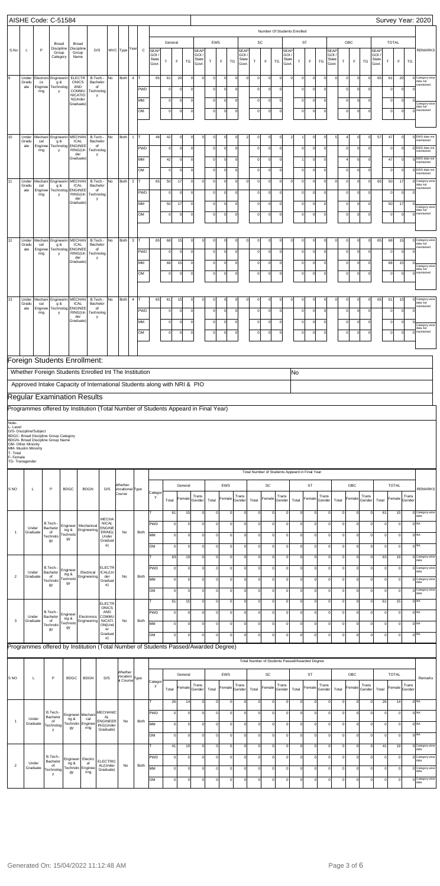|                       |                                        |                                                                                                                                  | AISHE Code: C-51584                 |                                                           |                                               |                                      |                              |                              |                            |                     |                                     |                            |                                  |                                    |                            |                                                |                               |                                            |                         |                                          |                                    |                            |                            |                         |                             |                            |                      | Survey Year: 2020                                      |
|-----------------------|----------------------------------------|----------------------------------------------------------------------------------------------------------------------------------|-------------------------------------|-----------------------------------------------------------|-----------------------------------------------|--------------------------------------|------------------------------|------------------------------|----------------------------|---------------------|-------------------------------------|----------------------------|----------------------------------|------------------------------------|----------------------------|------------------------------------------------|-------------------------------|--------------------------------------------|-------------------------|------------------------------------------|------------------------------------|----------------------------|----------------------------|-------------------------|-----------------------------|----------------------------|----------------------|--------------------------------------------------------|
|                       |                                        |                                                                                                                                  | Broad                               | Broad                                                     |                                               |                                      |                              |                              | General                    |                     |                                     | EWS                        |                                  |                                    | SC                         | Number Of Students Enrolled                    |                               | ST                                         |                         |                                          |                                    | ${\sf OBC}$                |                            |                         |                             | <b>TOTAL</b>               |                      |                                                        |
| S.No                  | L                                      | P                                                                                                                                | Discipline<br>Group<br>Category     | Discipline<br>Group<br>Name                               | D/S                                           | WVC Type                             | Year<br>$\mathtt{C}$         | <b>SEAP</b><br>GOI.<br>State |                            |                     | <b>SEAP</b><br><b>GOI</b><br>State  |                            |                                  | <b>SEAF</b><br><b>GOI</b><br>State |                            |                                                | <b>SEAP</b><br>GOI /<br>State |                                            |                         |                                          | <b>SEAP</b><br><b>GOI</b><br>State |                            |                            |                         | SEAP<br><b>GOI</b><br>State |                            |                      | <b>REMARKS</b>                                         |
|                       |                                        |                                                                                                                                  |                                     |                                                           |                                               |                                      |                              | Govt.                        | $\top$                     | <b>TG</b><br>F      | Govt.                               | т                          | $\mathsf F$                      | TG<br>Govt                         | $\top$                     | F                                              | TG<br>Govt.                   | T                                          | F                       | <b>TG</b>                                | Govt.                              | T                          | F                          | TG                      | Govt                        | $\top$                     | $\mathsf F$          | TG                                                     |
| l9                    | Under<br>Gradu<br>ate                  | Electroni<br>cs<br>Enginee                                                                                                       | Engineerin<br>g &<br>Technolog      | <b>ELECTR</b><br><b>ONICS</b><br>AND<br>COMMU             | B.Tech.-<br>No<br>Bachelor<br>of<br>Technolog | Both                                 | $\overline{4}$<br><b>PWD</b> | 65                           | 61<br>$\mathbf 0$          | 20                  | $\circ$<br>$\Omega$<br> 0           | $\mathbf 0$<br>$\Omega$    | $\mathbf 0$<br>$\mathbf 0$       | $\circ$<br>$\mathbf 0$             | $\Omega$                   | C<br>$\mathsf{C}$                              | $\Omega$<br>$\Omega$          | $\mathbf 0$<br>$\mathbf 0$<br>$\mathbf 0$  | $\mathbf 0$<br>$\Omega$ | $\Omega$<br>$\Omega$                     | $\mathsf{C}$                       | $\mathbf 0$<br>$\mathbf 0$ | $\mathbf 0$<br>$\mathbf 0$ | $\mathbf 0$<br>$\Omega$ | 65                          | 61<br>$\Omega$             | 20<br>$\Omega$       | Category-wise<br>$\mathbf 0$<br>data not<br>maintained |
|                       |                                        | ring                                                                                                                             | y                                   | <b>NICATIO</b><br>N(Under<br>Graduate)                    | y                                             |                                      | MM                           |                              | $\mathbf 0$                | O                   | 0                                   | $\circ$                    | $\mathbf 0$                      | $\mathbf 0$                        |                            | C                                              | $\Omega$                      | $\mathbf 0$                                | $\Omega$                | $\Omega$                                 |                                    | $\mathbf 0$                | $\mathbf 0$                | $\Omega$                |                             | $\mathbf 0$                | $\Omega$             | Category-wise                                          |
|                       |                                        |                                                                                                                                  |                                     |                                                           |                                               |                                      | OM                           |                              | $\mathbf 0$                | $\Omega$            | 0                                   | $\mathbf 0$                | $\mathbf 0$                      | 0                                  | $\Omega$                   | $\mathbf 0$                                    | $\Omega$                      | $\mathbf 0$                                | $\Omega$                | $\Omega$                                 |                                    | $\mathbf 0$                | $\mathbf 0$                | $\circ$                 |                             | $\circ$                    | $\Omega$             | data not<br>maintained<br>$\Omega$                     |
| 10                    |                                        |                                                                                                                                  |                                     |                                                           |                                               |                                      |                              | 48                           | 42                         | $\Omega$            | $\mathbf 0$<br>$\Omega$             | $\Omega$                   |                                  |                                    | $\Omega$                   | $\Omega$                                       | $\Omega$                      |                                            |                         |                                          | 5                                  | $\overline{4}$             |                            |                         |                             |                            | $\Omega$             | 0 EWS data not                                         |
|                       | Under<br>Gradu<br>ate                  | Mechani Engineerin<br>cal<br>Enginee<br>ring                                                                                     | g &<br>Technolog<br>y               | <b>MECHAN</b><br><b>ICAL</b><br><b>ENGINEE</b><br>RING(Un | B.Tech.-<br>No<br>Bachelor<br>of<br>Technolog | Both                                 | $\overline{1}$<br>PWD        |                              | $\Omega$                   | $\Omega$            | <sup>0</sup>                        | $\mathbf{0}$               | 0<br>$\mathbf 0$                 | $\circ$<br>$\Omega$                | $\Omega$                   | $\Omega$                                       | $\Omega$                      | $\overline{2}$<br>$\Omega$                 | $\mathbf 0$<br>$\Omega$ | $\Omega$<br>$\Omega$                     |                                    | $\Omega$                   | $\mathbf 0$<br>$\mathbf 0$ | $\mathbf 0$<br>$\Omega$ | 57                          | 47<br>$\circ$              | $\Omega$             | maintained<br>0 EWS data not<br>maintained             |
|                       |                                        |                                                                                                                                  |                                     | der<br>Graduate)                                          | <b>V</b>                                      |                                      | MM                           |                              | 42                         | $\Omega$            | <sup>o</sup>                        | $\Omega$                   | $\mathbf 0$                      | 0                                  | $\Omega$                   | $\Omega$                                       | $\Omega$                      | $\overline{1}$                             | $\Omega$                | $\Omega$                                 |                                    | $\overline{4}$             | $\mathbf 0$                | $\Omega$                |                             | 47                         | $\epsilon$           | 0 EWS data not<br>maintained                           |
| 11                    | Under                                  | Mechani Engineerin                                                                                                               |                                     | <b>MECHAN</b>                                             | No<br>B.Tech.-                                | Both                                 | OM<br>$\overline{2}$         | 65                           | $\Omega$<br>50             | $\Omega$<br>17      | <sup>0</sup><br>$\circ$<br>$\Omega$ | $\mathbf 0$<br>$\Omega$    | $\mathbf 0$<br>$\mathbf 0$       | <sup>o</sup><br>$\circ$            | $\Omega$<br>$\Omega$       | $\Omega$<br>$\Omega$                           | $\Omega$<br>$\Omega$          | $\mathbf 0$<br>$\Omega$<br>$\mathbf 0$     | $\circ$<br>$\Omega$     | $\Omega$<br>$\Omega$                     | $\Omega$                           | $\Omega$<br>$\Omega$       | $\mathbf 0$<br>$\mathbf 0$ | $\Omega$<br>$\Omega$    | 65                          | $\circ$<br>50              | $\epsilon$<br>17     | 0 EWS data not<br>naintained<br>O Category-wise        |
|                       | Gradu<br>ate                           | cal<br>Enginee<br>ring                                                                                                           | g &<br>Technolog<br>y               | <b>ICAL</b><br><b>ENGINEE</b><br>RING(Un                  | Bachelor<br>of<br>Technolog                   |                                      | PWD                          |                              | $\Omega$                   | $\Omega$            | <sup>0</sup>                        | $\Omega$                   | $\mathbf 0$                      | <sup>0</sup>                       | $\Omega$                   | $\Omega$                                       | $\Omega$                      | $\mathbf 0$                                | $\Omega$                | $\Omega$                                 |                                    | $\Omega$                   | $\mathbf 0$                | $\Omega$                |                             | $\circ$                    | $\Omega$             | data not<br>maintained<br>$\Omega$                     |
|                       |                                        |                                                                                                                                  |                                     | der<br>Graduate)                                          | y                                             |                                      | MM                           |                              | 50                         | 17                  | <sup>0</sup>                        | $\Omega$                   | $\mathbf 0$                      | 0                                  | $\Omega$                   | $\Omega$                                       | $\Omega$                      | $\mathbf 0$                                | $\Omega$                | $\Omega$                                 |                                    | $\mathbf 0$                | $\mathbf 0$                | $\Omega$                |                             | 50                         | 17                   | Category-wise<br>data not                              |
|                       |                                        |                                                                                                                                  |                                     |                                                           |                                               |                                      | OM                           |                              | $\circ$                    | $\Omega$            | 0                                   | $\mathbf 0$                | $\mathbf 0$                      | 0                                  | $\mathbf 0$                | $\Omega$                                       | $\Omega$                      | $\mathbf 0$                                | $\circ$                 | $\Omega$                                 |                                    | $\mathbf 0$                | $\mathbf 0$                | $\circ$                 |                             | $\circ$                    | $\Omega$             | 0 maintained                                           |
| 12                    | Under<br>Gradu                         | Mechani Engineerin<br>cal                                                                                                        | g &                                 | <b>MECHAN</b><br>ICAL                                     | B.Tech.-<br>No<br>Bachelor                    | Both                                 | $\mathbf{3}$                 | 65                           | 68                         | 15                  | $\Omega$<br>0                       |                            | $\mathbf 0$                      | $\mathbf 0$                        |                            | C                                              | $\Omega$                      | $\mathbf 0$<br>$\mathbf 0$                 |                         |                                          | C                                  | $\mathsf{C}$               | $\mathbf 0$                | 0                       | 65                          | 68                         | 15                   | O Category-wise<br>data not                            |
|                       | ate                                    | Enginee<br>ring                                                                                                                  | Technolog<br>у                      | <b>ENGINEE</b><br>RING(Un<br>der                          | of<br>Technolog<br>y                          |                                      | <b>PWD</b>                   |                              | $\mathbf 0$                | $\Omega$            | 0                                   | $\circ$                    | $\mathbf 0$                      | $\circ$                            |                            | $\mathbf 0$                                    | $\Omega$                      | $\mathbf 0$                                | $\Omega$                | $\overline{0}$                           |                                    | $\mathbf 0$                | $\mathbf 0$                | $\mathbf 0$             |                             | $\overline{0}$             | $\Omega$             | maintained<br>C                                        |
|                       |                                        |                                                                                                                                  |                                     | Graduate)                                                 |                                               |                                      | MM<br>OM                     |                              | 68<br>0                    | 15<br>$\Omega$      | 0 <br>$\circ$                       | $\circ$<br>0               | $\mathbf 0$<br>$\mathbf 0$       | $\mathbf 0$<br>$\mathbf 0$         |                            | $\mathbf 0$<br>$\mathbf 0$                     | $\Omega$<br>$\Omega$          | $\mathbf 0$<br>$\mathbf 0$                 | $\Omega$<br>$\Omega$    | $\overline{0}$<br>0                      |                                    | $\mathbf 0$<br>$\mathbf 0$ | $\mathbf 0$<br>$\mathbf 0$ | 0<br>0                  |                             | 68<br>$\mathbf 0$          | 15<br>C              | Category-wise<br>data not<br>maintained<br>$\Omega$    |
|                       |                                        |                                                                                                                                  |                                     |                                                           |                                               |                                      |                              |                              |                            |                     |                                     |                            |                                  |                                    |                            |                                                |                               |                                            |                         |                                          |                                    |                            |                            |                         |                             |                            |                      |                                                        |
| 13                    | Under<br>Gradu                         | Mechani Engineerin<br>cal                                                                                                        | g &                                 | <b>MECHAN</b><br><b>ICAL</b>                              | B.Tech.-<br>No<br>Bachelor                    | Both                                 | $\overline{4}$               | 65                           | 61                         | 15                  | $\Omega$<br>$\Omega$                | $\Omega$                   | $\mathbf 0$                      | $\mathbf 0$                        |                            | $\mathsf{C}$                                   |                               | $\mathbf 0$<br>0                           |                         |                                          | $\epsilon$                         | C                          | $\mathbf 0$                | $\mathbf 0$             | 65                          | 61                         | 15                   | Category-wise<br>0<br>data not<br>maintained           |
|                       | ate                                    | Enginee<br>ring                                                                                                                  | Technolog<br>y                      | <b>ENGINEE</b><br>RING(Un<br>der<br>Graduate)             | of<br>Technolog<br>y                          |                                      | <b>PWD</b><br>MM             |                              | $\mathbf 0$<br>$\mathbf 0$ |                     | 0 <br> 0                            | $\Omega$<br>$\circ$        | $\mathbf 0$<br>$\mathbf 0$       | $\mathbf 0$<br>$\mathbf 0$         |                            | $\mathsf{C}$<br>C                              | $\Omega$<br>$\Omega$          | $\mathbf 0$<br>$\mathbf 0$                 | $\Omega$<br>$\Omega$    | $\Omega$<br>$\Omega$                     |                                    | $\mathbf 0$<br>$\mathbf 0$ | $\mathbf 0$<br>$\mathbf 0$ | $\Omega$<br>$\mathbf 0$ |                             | $\mathbf 0$<br>$\mathbf 0$ | $\Omega$<br>$\Omega$ |                                                        |
|                       |                                        |                                                                                                                                  |                                     |                                                           |                                               |                                      | OM                           |                              | $\mathbf 0$                |                     | 0                                   | $\mathbf 0$                | $\mathbf 0$                      | 0                                  | $\Omega$                   | $\mathbf 0$                                    | $\Omega$                      | $\mathbf 0$                                | $\mathbf 0$             | $\Omega$                                 |                                    | $\mathbf 0$                | $\mathbf 0$                | $\circ$                 |                             | $\circ$                    | $\Omega$             | Category-wise<br>data not<br>maintained<br>$\Omega$    |
|                       |                                        |                                                                                                                                  |                                     |                                                           |                                               |                                      |                              |                              |                            |                     |                                     |                            |                                  |                                    |                            |                                                |                               |                                            |                         |                                          |                                    |                            |                            |                         |                             |                            |                      |                                                        |
|                       |                                        | Foreign Students Enrollment:                                                                                                     |                                     |                                                           |                                               |                                      |                              |                              |                            |                     |                                     |                            |                                  |                                    |                            |                                                |                               |                                            |                         |                                          |                                    |                            |                            |                         |                             |                            |                      |                                                        |
|                       |                                        | Whether Foreign Students Enrolled Int The Institution<br>Approved Intake Capacity of International Students along with NRI & PIO |                                     |                                                           |                                               |                                      |                              |                              |                            |                     |                                     |                            |                                  |                                    |                            |                                                |                               | No                                         |                         |                                          |                                    |                            |                            |                         |                             |                            |                      |                                                        |
|                       |                                        | <b>Regular Examination Results</b>                                                                                               |                                     |                                                           |                                               |                                      |                              |                              |                            |                     |                                     |                            |                                  |                                    |                            |                                                |                               |                                            |                         |                                          |                                    |                            |                            |                         |                             |                            |                      |                                                        |
|                       |                                        | Programmes offered by Institution (Total Number of Students Appeard in Final Year)                                               |                                     |                                                           |                                               |                                      |                              |                              |                            |                     |                                     |                            |                                  |                                    |                            |                                                |                               |                                            |                         |                                          |                                    |                            |                            |                         |                             |                            |                      |                                                        |
| Note-<br>L- Level     | D/S- Discipline/Subject                |                                                                                                                                  |                                     |                                                           |                                               |                                      |                              |                              |                            |                     |                                     |                            |                                  |                                    |                            |                                                |                               |                                            |                         |                                          |                                    |                            |                            |                         |                             |                            |                      |                                                        |
|                       |                                        |                                                                                                                                  |                                     |                                                           |                                               |                                      |                              |                              |                            |                     |                                     |                            |                                  |                                    |                            |                                                |                               |                                            |                         |                                          |                                    |                            |                            |                         |                             |                            |                      |                                                        |
|                       | OM- Other Minority                     | <b>BDGC- Broad Discipline Group Category</b><br>BDGN- Broad Discipline Group Name                                                |                                     |                                                           |                                               |                                      |                              |                              |                            |                     |                                     |                            |                                  |                                    |                            |                                                |                               |                                            |                         |                                          |                                    |                            |                            |                         |                             |                            |                      |                                                        |
| T- Total<br>F- Female | MM- Muslim Minority<br>TG- Transgender |                                                                                                                                  |                                     |                                                           |                                               |                                      |                              |                              |                            |                     |                                     |                            |                                  |                                    |                            |                                                |                               |                                            |                         |                                          |                                    |                            |                            |                         |                             |                            |                      |                                                        |
|                       |                                        |                                                                                                                                  |                                     |                                                           |                                               |                                      |                              |                              |                            |                     |                                     |                            |                                  |                                    |                            | Total Number of Students Appeard in Final Year |                               |                                            |                         |                                          |                                    |                            |                            |                         |                             |                            |                      |                                                        |
| S <sub>NO</sub>       | L                                      | P                                                                                                                                | <b>BDGC</b>                         | <b>BDGN</b>                                               | D/S                                           | Vhether<br>Vocational Type<br>Course |                              | Categor                      |                            | General             |                                     |                            | EWS                              |                                    |                            | SC                                             |                               |                                            | <b>ST</b>               |                                          |                                    |                            | OBC                        |                         |                             | <b>TOTAL</b>               |                      | <b>REMARKS</b>                                         |
|                       |                                        |                                                                                                                                  |                                     |                                                           |                                               |                                      |                              | у                            | Total                      | Female              | Trans<br>Gender                     | Total                      | Female                           | Trans<br>Gender                    | Total                      | Female                                         | Trans<br>Gender               | Total                                      | Female                  | Trans<br>Gender                          | Total                              | Femal                      |                            | Trans<br>Gender         | Total                       | Female                     |                      | Trans<br>Gender                                        |
|                       |                                        | B.Tech.                                                                                                                          |                                     |                                                           | <b>MECHA</b><br><b>NICAL</b>                  |                                      |                              | PWD                          | 61<br>$\mathsf{O}$         | 15<br>$\Omega$      | 0<br>0                              | $\circ$<br>$\mathbf 0$     | 0<br>$\overline{0}$              | $\mathbf 0$<br>0                   | 0<br>$\mathbf 0$           | $\circ$<br>$\Omega$                            | C<br>$\mathsf{C}$             | $\mathbf 0$<br>$\mathbf 0$                 | $\mathbf 0$<br>$\Omega$ | $\mathbf 0$<br>$\circ$                   |                                    | $\mathbf 0$<br>$\pmb{0}$   | 0<br>$\mathbf 0$           |                         | 61                          | $\Omega$                   | 15<br>$\mathbf 0$    | 0 Category-wise<br>data<br>$0$ <sub>NA</sub>           |
| $\overline{1}$        | Under<br>Graduate                      | Bachelor<br>of<br>Technolo                                                                                                       | Engineer<br>ing &<br>Technolo       | Mechanical<br>Engineering                                 | <b>ENGINE</b><br>ERING(<br>Under              | No                                   | Both                         | MM                           | $\circ$                    | $\Omega$            | $\mathbf 0$                         | $\mathbf 0$                | $\overline{0}$                   | $\mathbf 0$                        | $\mathbf 0$                | 0                                              | $\Omega$                      | $\mathbf 0$                                | $\Omega$                | 0                                        |                                    | $\circ$                    | $\mathbf 0$                | $\Omega$                |                             | $\circ$                    | $\mathbf 0$          | $0$ <sub>NA</sub>                                      |
|                       |                                        | gy                                                                                                                               | gу                                  |                                                           | Graduat<br>e)                                 |                                      |                              | lом                          | $\mathsf{O}$               | $\Omega$            | $\circ$                             | $\Omega$                   | $\overline{0}$                   | $\mathbf 0$                        | $\mathbf 0$                | $\Omega$                                       | $\Omega$                      | $\mathbf 0$                                | $\Omega$                | $\circ$                                  |                                    | $\mathsf 0$                | $\mathbf 0$                |                         |                             | $\Omega$                   | $\mathbf 0$          | 0 <sub>NA</sub>                                        |
|                       |                                        | B.Tech.                                                                                                                          |                                     |                                                           | <b>ELECTR</b>                                 |                                      |                              | т<br>PWD                     | 63<br>$\mathsf{O}$         | 19<br>$\Omega$      | 0<br>$\circ$                        | $\mathbf 0$<br>$\mathbf 0$ | $\Omega$<br>$\overline{0}$       | 0<br>$\mathbf 0$                   | $\mathbf 0$<br>$\mathbf 0$ | $\circ$<br>$\circ$                             | $\Omega$<br>$\Omega$          | $\mathbf 0$<br>$\mathbf 0$                 | $\Omega$<br>$\Omega$    | $\circ$<br>$\circ$                       |                                    | $\mathbf 0$<br>$\circ$     | $\mathbf 0$<br>$\mathbf 0$ | $\Omega$<br>$\Omega$    | 63                          | $\Omega$                   | 19<br>$\mathbf 0$    | 0 Category-wise<br>data<br>0 Category-wise             |
| $\overline{2}$        | Under<br>Graduate                      | Bachelor<br>of<br>Technolo                                                                                                       | Engineer<br>ing &<br>Technolo<br>gу | Electrical<br>Engineering                                 | ICAL(Un<br>der<br>Graduat                     | No                                   | Both                         | MM                           | $\circ$                    | $\Omega$            | $\mathbf 0$                         | $\mathbf 0$                | $\overline{0}$                   | $\mathbf 0$                        | $\mathbf 0$                | 0                                              | $\Omega$                      | $\mathbf 0$                                | $\Omega$                | 0                                        |                                    | $\circ$                    | $\mathbf 0$                | $\Omega$                |                             | $\circ$                    | $\mathbf 0$          | data<br>0 Category-wise<br>data                        |
|                       |                                        | gу                                                                                                                               |                                     |                                                           | e)                                            |                                      |                              | OM                           | $\mathsf{O}$               | $\Omega$            | 0                                   | $\circ$                    | 0                                | 0                                  | $\mathbf 0$                | $\Omega$                                       | $\Omega$                      | $\mathbf 0$                                | $\Omega$                | $\circ$                                  |                                    | $\pmb{0}$                  | $\mathbf 0$                |                         |                             | $\Omega$                   | 0                    | 0 Category-wise<br>data                                |
|                       |                                        | B.Tech.                                                                                                                          | Engineer                            |                                                           | <b>ELECTR</b><br>ONICS<br>AND                 |                                      |                              | Iт<br>PWD                    | 61<br>$\mathsf{O}$         | 15<br>$\Omega$      | $\mathbf 0$<br>$\circ$              | $\mathbf 0$<br>$\mathbf 0$ | $\overline{0}$<br>$\overline{0}$ | $\mathbf 0$<br>$\mathbf 0$         | $\mathbf 0$<br>$\mathbf 0$ | $\circ$<br>$\circ$                             | $\Omega$<br>$\Omega$          | $\mathbf 0$<br>$\mathbf 0$                 | $\Omega$<br>$\Omega$    | $\circ$<br>$\circ$                       |                                    | $\mathsf 0$<br>$\circ$     | $\mathbf 0$<br>$\mathbf 0$ | $\Omega$<br>$\Omega$    | 61                          | $\Omega$                   | 15<br>$\mathbf 0$    | 0 <sub>NA</sub><br>0 <sup>NA</sup>                     |
| 3                     | Under<br>Graduate                      | Bachelor<br>of<br>Technolo<br>gу                                                                                                 | ing &<br>Technolo<br>gy             | Electronics<br>Engineering                                | <b>COMMU</b><br><b>NICATI</b><br>ON(Und<br>er | No                                   | Both                         | MM                           | $\mathbf 0$                | $\Omega$            | 0                                   | $\mathbf 0$                | $\overline{0}$                   | 0                                  | $\mathbf 0$                | $\circ$                                        | $\Omega$                      | $\mathbf 0$                                | $\Omega$                | $\circ$                                  |                                    | $\mathbf 0$                | $\mathbf 0$                | $\Omega$                |                             | $^{\circ}$                 | $\mathbf 0$          | $0$ <sub>NA</sub>                                      |
|                       |                                        |                                                                                                                                  |                                     |                                                           | Graduat<br>e)                                 |                                      |                              | lом                          | $\mathbf 0$                | $\Omega$            | 0                                   | $\Omega$                   | $\circ$                          | $\mathbf 0$                        | $\mathbf 0$                | $\Omega$                                       | $\Omega$                      | $\mathbf 0$                                | $\Omega$                | $\circ$                                  |                                    | $\mathbf 0$                | $\mathbf 0$                |                         |                             |                            | $\epsilon$           | $0$ <sub>NA</sub>                                      |
|                       |                                        | Programmes offered by Institution (Total Number of Students Passed/Awarded Degree)                                               |                                     |                                                           |                                               |                                      |                              |                              |                            |                     |                                     |                            |                                  |                                    |                            | Total Number of Students Passed/Awarded Degree |                               |                                            |                         |                                          |                                    |                            |                            |                         |                             |                            |                      |                                                        |
|                       |                                        |                                                                                                                                  |                                     |                                                           |                                               | Whether                              |                              |                              |                            | General             |                                     |                            | EWS                              |                                    |                            | SC                                             |                               |                                            | <b>ST</b>               |                                          |                                    |                            | OBC                        |                         |                             | <b>TOTAL</b>               |                      |                                                        |
| S NO                  | L                                      | P                                                                                                                                |                                     | BDGC   BDGN                                               | D/S                                           | Vocation<br>al Course                |                              | Categor<br>y                 | Total                      | Female              | Trans<br>Gender                     | Total                      | Female Gender                    | Trans                              | Total                      | Female Gender                                  | Trans                         | Total                                      |                         | Trans<br>$\lvert$ Female $\lvert$ Gender | Total                              |                            | Female Gender              | Trans                   | Total                       | Female                     |                      | Remarks<br>Trans<br>Gender                             |
|                       |                                        |                                                                                                                                  |                                     |                                                           |                                               |                                      |                              | Iт                           | 26                         | 14                  | $\Omega$                            | $\Omega$                   | $\Omega$                         | $\Omega$                           | $\mathbf{0}$               | $\Omega$                                       |                               | $\mathbf 0$                                | $\Omega$                | $\overline{0}$                           |                                    | $\circ$                    | $\Omega$                   | $\Omega$                | 26                          |                            | 14                   | 0 NA                                                   |
| $\overline{1}$        | Under<br>Graduate                      | B.Tech.-<br>Bachelor<br>of                                                                                                       | ng &<br>Technolo                    | Engineeri Mechani<br>cal                                  | <b>MECHANIC</b><br>AL<br><b>ENGINEER</b>      | No                                   | Both                         | PWD<br>MM                    | $\circ$<br>$\circ$         | $\Omega$<br>$\circ$ | $\circ$<br>$\Omega$                 | $\mathbf 0$<br>$\mathbf 0$ | $\overline{0}$<br>$\overline{0}$ | $\mathbf 0$<br>$\mathbf 0$         | $\circ$<br>$\overline{0}$  | $\circ$<br>$\circ$                             | $\mathbf{0}$<br>$\mathbf{0}$  | $\mathbf 0$<br>$\mathsf{O}\xspace$         | $\Omega$<br>$\Omega$    | 0 <br> 0                                 |                                    | $\circ$<br>$\circ$         | $\circ$<br>$\circ$         | $\Omega$<br>$\Omega$    |                             | $\Omega$<br>$\mathbf 0$    | $\circ$<br>$\circ$   | 0 NA<br>0 NA                                           |
|                       |                                        | Technolog<br>у                                                                                                                   | gy                                  | Enginee<br>ring                                           | ING(Under<br>Graduate)                        |                                      |                              | lом                          | $\circ$                    | $\circ$             | $\circ$                             | $\mathbf 0$                | $\overline{0}$                   | $\mathbf 0$                        | $\circ$                    | $\circ$                                        | <sup>0</sup>                  | $\circ$                                    | $\Omega$                | 0                                        |                                    | $\circ$                    | $\circ$                    | $\Omega$                |                             | $\mathbf 0$                | $\circ$              | 0 NA                                                   |
|                       |                                        |                                                                                                                                  |                                     |                                                           |                                               |                                      |                              | lΤ                           | 41                         | 19                  | $\Omega$                            | $\mathbf 0$                | $\circ$                          | $\mathbf 0$                        | $\circ$                    | $\overline{0}$                                 | $\mathbf{0}$                  | $\mathbf 0$                                | $\Omega$                | 0                                        |                                    | $\circ$                    | $\circ$                    | $\Omega$                | 41                          |                            | 19                   | 0 Category-wise                                        |
| $\overline{c}$        | Under<br>Graduate                      | B.Tech.-<br>Bachelor<br>of<br>Technolog                                                                                          | Engineeri<br>ng &<br>Technolo<br>gy | Electric<br>al<br>Enginee<br>ring                         | <b>ELECTRIC</b><br>AL(Under<br>Graduate)      | No                                   | Both                         | PWD<br>MM                    | $\circ$<br>$\circ$         | $\circ$<br>$\circ$  | $\circ$<br>$\Omega$                 | $\mathbf 0$<br>$\mathbf 0$ | $\overline{0}$<br>$\overline{0}$ | $\mathbf 0$<br>$\mathbf 0$         | $\circ$<br>$\overline{0}$  | $\circ$<br>$\circ$                             | $\mathbf{0}$<br>$\mathbf{0}$  | $\mathsf{O}\xspace$<br>$\mathsf{O}\xspace$ | $\Omega$<br>$\Omega$    | 0 <br> 0                                 |                                    | 0 <br>$\circ$              | $\circ$<br>$\circ$         | $\Omega$<br>$\Omega$    |                             | $\mathbf 0$<br>$\mathbf 0$ | $\circ$<br>$\circ$   | 0 Category-wise<br>0 Category-wise                     |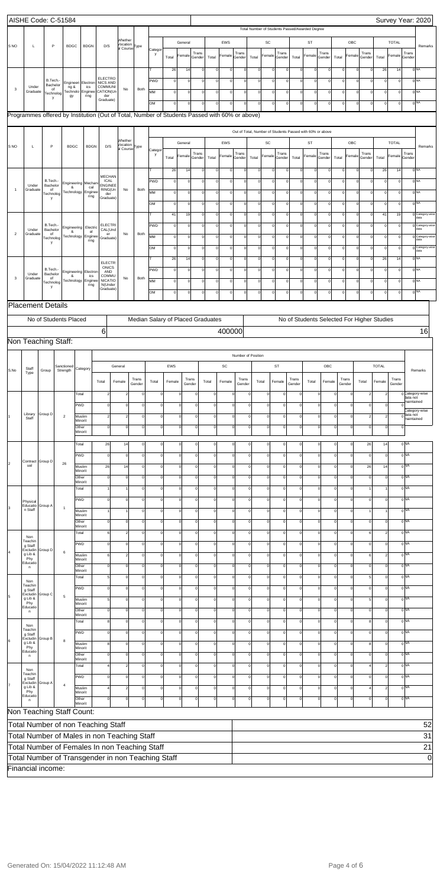|                 | AISHE Code: C-51584                    |                             |                      |                         |                           |                                                                                               |                                                  |          |                     |                     |                |                 |                                   |             |                    |                |                     |                                                |                |           |                                                           |             |                |                 |                         |                |                          | Survey Year: 2020       |
|-----------------|----------------------------------------|-----------------------------|----------------------|-------------------------|---------------------------|-----------------------------------------------------------------------------------------------|--------------------------------------------------|----------|---------------------|---------------------|----------------|-----------------|-----------------------------------|-------------|--------------------|----------------|---------------------|------------------------------------------------|----------------|-----------|-----------------------------------------------------------|-------------|----------------|-----------------|-------------------------|----------------|--------------------------|-------------------------|
|                 |                                        |                             |                      |                         |                           |                                                                                               |                                                  |          |                     |                     |                |                 |                                   |             |                    |                |                     | Total Number of Students Passed/Awarded Degree |                |           |                                                           |             |                |                 |                         |                |                          |                         |
|                 |                                        |                             |                      |                         |                           |                                                                                               | Whether                                          |          |                     |                     | General        |                 |                                   | EWS         |                    |                | SC                  |                                                |                | <b>ST</b> |                                                           |             | OBC            |                 |                         | <b>TOTAL</b>   |                          |                         |
| S <sub>NO</sub> | $\mathsf L$                            |                             | P                    | <b>BDGC</b>             | <b>BDGN</b>               | D/S                                                                                           | Vocation<br>al Course <sup>Type</sup>            |          | Catego              |                     |                | Trans           |                                   |             | Trans              |                |                     | Trans                                          |                |           | Trans                                                     |             |                | Trans           |                         |                | Trans                    | Remarks                 |
|                 |                                        |                             |                      |                         |                           |                                                                                               |                                                  |          | y                   | Total               | Female         | Gender          | Total                             | Female      | Gender             | Total          | Female              | Gender                                         | Total          | Female    | Gender                                                    | Total       | Female         | Gender          | Total                   | Female         | Gender                   |                         |
|                 |                                        |                             |                      |                         |                           |                                                                                               |                                                  |          | т                   | 26                  | 14             | $\mathbf 0$     | $\mathbf 0$                       | 0           | $\mathbf 0$        | $\circ$        | $\Omega$            | 0                                              | $\circ$        | $\circ$   | $\circ$                                                   | $\mathbf 0$ | $\circ$        | 0               | 26                      | 14             |                          | $0$ <sub>NA</sub>       |
|                 |                                        |                             | B.Tech.-<br>Bachelor |                         | Engineeri Electron        | <b>ELECTRO</b><br><b>NICS AND</b>                                                             |                                                  |          | PWD                 | $\mathsf{o}$        | $\mathbf 0$    | $\mathbf 0$     | $\pmb{0}$                         | 0           | $\pmb{0}$          | $\overline{0}$ | $\circ$             | 0                                              | $\circ$        | $\circ$   | $\mathbf 0$                                               | $\mathbf 0$ | $\overline{0}$ | 0               | $\circ$                 | $\circ$        |                          | 0 <sub>NA</sub>         |
| 3               | Under<br>Graduate                      |                             | of<br>Technolog      | ng &                    | ics<br>Fechnolo Enginee   | COMMUNI<br>CATION(Un                                                                          | No                                               | Both     | MM                  | $\circ$             | $\mathbf 0$    | $\mathbf 0$     | $\circ$                           | $\circ$     | $\mathbf 0$        | $\overline{0}$ | $\circ$             | 0                                              | $\circ$        | $\circ$   | $\mathbf 0$                                               | $\mathbf 0$ | $\circ$        | 0               | $\circ$                 | $\circ$        |                          | 0 <sub>NA</sub>         |
|                 |                                        |                             | у                    | gy                      | ring                      | der<br>Graduate)                                                                              |                                                  |          | OM                  | $\circ$             | $\overline{0}$ | $\mathbf 0$     | $\mathbf 0$                       | $\circ$     | $\pmb{0}$          | $\circ$        | 0                   | 0                                              | $\circ$        | $\circ$   | $\mathbf 0$                                               | $\mathbf 0$ | $\overline{0}$ | 0               | $\circ$                 | $\mathbf 0$    |                          | 0 <sup>NA</sup>         |
|                 |                                        |                             |                      |                         |                           | Programmes offered by Institution (Out of Total, Number of Students Passed with 60% or above) |                                                  |          |                     |                     |                |                 |                                   |             |                    |                |                     |                                                |                |           |                                                           |             |                |                 |                         |                |                          |                         |
|                 |                                        |                             |                      |                         |                           |                                                                                               |                                                  |          |                     |                     |                |                 |                                   |             |                    |                |                     |                                                |                |           |                                                           |             |                |                 |                         |                |                          |                         |
|                 |                                        |                             |                      |                         |                           |                                                                                               |                                                  |          |                     |                     |                |                 |                                   |             |                    |                |                     |                                                |                |           | Out of Total, Number of Students Passed with 60% or above |             |                |                 |                         |                |                          |                         |
| <b>SNO</b>      | L                                      | P                           |                      | <b>BDGC</b>             | <b>BDGN</b>               | D/S                                                                                           | Whether<br>Vocation<br>al Course <sup>Type</sup> |          |                     |                     | General        |                 |                                   | EWS         |                    |                | SC                  |                                                |                | <b>ST</b> |                                                           |             | OBC            |                 |                         | <b>TOTAL</b>   |                          | Remarks                 |
|                 |                                        |                             |                      |                         |                           |                                                                                               |                                                  |          | Categor<br>y        | Total               | Female         | Trans<br>Gender | Total                             | Female      | Trans<br>Gender    | Total          | Female              | Trans<br>Gender                                | Total          | Female    | Trans<br>Gender                                           | Total       | Female         | Trans<br>Gender | Total                   | Female         | Trans<br>Gender          |                         |
|                 |                                        |                             |                      |                         |                           |                                                                                               |                                                  |          |                     |                     |                |                 |                                   |             |                    |                |                     |                                                |                |           |                                                           |             |                |                 |                         |                |                          |                         |
|                 |                                        |                             |                      |                         |                           | <b>MECHAN</b>                                                                                 |                                                  |          | т                   | 26                  | 14             | $\Omega$        | $\mathsf 0$                       | $\circ$     | $\mathbf 0$        | $\mathbf{0}$   | $\Omega$            | οl                                             | 0              | $\Omega$  | $\Omega$                                                  | $\Omega$    | $\circ$        | 0               | 26                      | 14             |                          | 0 <sup>NA</sup>         |
| $\overline{1}$  | Under<br>Graduate                      | B.Tech.<br>Bachelor<br>of   |                      | &                       | Engineering Mechan<br>cal | ICAL<br><b>ENGINEE</b><br>RING(Un                                                             | No                                               | Both     | PWD                 | $\circ$             | $\overline{0}$ | $\mathbf 0$     | $\mathsf 0$                       | $\circ$     | $\mathbf 0$        | $\Omega$       | $\Omega$            | $\circ$                                        | $\overline{0}$ | $\Omega$  | $\mathbf 0$                                               | $\Omega$    | $\circ$        | $\mathbf 0$     | $\mathsf{O}\xspace$     | $\mathbf 0$    |                          | ONA                     |
|                 |                                        | y                           | Technolog            | Technology              | Enginee<br>ring           | der<br>Graduate)                                                                              |                                                  |          | MM                  | $\circ$             | $\mathbf 0$    | $\Omega$        | $\mathsf 0$                       | $\circ$     | $\mathbf 0$        | $\Omega$       | $\Omega$            | $\circ$                                        | $\circ$        | $\Omega$  | $\mathbf 0$                                               | $\Omega$    | $\circ$        | $\mathbf 0$     | $\mathsf{O}\xspace$     | $\overline{0}$ |                          | 0 <sup>NA</sup>         |
|                 |                                        |                             |                      |                         |                           |                                                                                               |                                                  |          | OM                  | $\circ$             | $\Omega$       | $\Omega$        | $\mathbf 0$                       | $\circ$     | $\mathbf 0$        | $\Omega$       | $\Omega$            | οl                                             | $\overline{0}$ | $\Omega$  | $\Omega$                                                  | $\Omega$    | $\circ$        | $\mathbf 0$     | $\mathsf{O}\xspace$     | $\Omega$       |                          | ONA                     |
|                 |                                        |                             |                      |                         |                           |                                                                                               |                                                  |          | т                   | 41                  | 19             | $\Omega$        | $\mathsf 0$                       | $\circ$     | $\mathbf 0$        | $\Omega$       | $\Omega$            | $\circ$                                        | $\overline{0}$ | $\Omega$  | $\Omega$                                                  | $\Omega$    | $\circ$        | $\mathbf 0$     | 41                      | 19             |                          | 0 Category-wise         |
|                 | Under                                  | B.Tech.<br>Bachelor         |                      |                         | Engineering Electric      | ELECTRI<br>CAL(Und                                                                            |                                                  |          | PWD                 | $\circ$             | $\mathbf 0$    | $\mathbf 0$     | $\mathsf 0$                       | $\circ$     | $\mathbf 0$        | $\Omega$       | $\Omega$            | $\circ$                                        | $\overline{0}$ | $\Omega$  | $\mathbf 0$                                               | $\Omega$    | $\circ$        | $\mathbf 0$     | $\mathsf{O}\xspace$     | $\Omega$       |                          | 0 Category-wise<br>data |
| $\overline{2}$  | Graduate                               | of                          | Technolog            | &<br>Technology         | al<br>Enginee<br>ring     | er<br>Graduate)                                                                               | No                                               | Both     | MM                  | $\circ$             | $\Omega$       | $\mathbf 0$     | $\mathsf 0$                       | $\circ$     | $\mathbf 0$        | $\Omega$       | $\Omega$            | $\circ$                                        | $\circ$        | $\Omega$  | $\mathbf 0$                                               | $\Omega$    | $\circ$        | $\mathbf 0$     | $\mathsf{O}\xspace$     | $\mathbf 0$    |                          | 0 Category-wise         |
|                 |                                        | y                           |                      |                         |                           |                                                                                               |                                                  |          | OM                  | $\circ$             | $\Omega$       | $\Omega$        | $\mathbf 0$                       | $\circ$     | $\mathbf 0$        | $\Omega$       | $\Omega$            | οl                                             | $\circ$        | $\Omega$  | $\Omega$                                                  | $\Omega$    | $\circ$        | $\mathbf 0$     | $\mathsf{O}\xspace$     | $\Omega$       |                          | 0 Category-wise<br>data |
|                 |                                        |                             |                      |                         |                           |                                                                                               |                                                  |          | т                   | 26                  | 14             | $\mathbf 0$     | $\mathsf 0$                       | $\circ$     | $\mathbf 0$        | $\Omega$       | $\Omega$            | $\circ$                                        | $\circ$        | $\Omega$  | $\mathbf 0$                                               | $\Omega$    | $\circ$        | 0               | 26                      | 14             |                          | 0 <sup>NA</sup>         |
|                 |                                        | B.Tech.                     |                      |                         | Engineering Electron      | <b>ELECTR</b><br><b>ONICS</b><br>AND                                                          |                                                  |          | <b>PWD</b>          | $\circ$             | $\overline{0}$ | $\mathbf 0$     | $\mathsf 0$                       | $\circ$     | $\mathbf 0$        | $\Omega$       | $\Omega$            | $\circ$                                        | $\circ$        | $\Omega$  | $\mathbf 0$                                               | $\Omega$    | $\circ$        | $\mathbf 0$     | $\mathsf{O}\xspace$     | $\mathbf 0$    |                          | 0 NA                    |
| 3               | Under<br>Graduate                      | Bachelor<br>of<br>Technolog |                      | &<br>Technology         | ics<br>Enginee            | COMMU<br><b>NICATIO</b>                                                                       | No                                               | Both     | MM                  | $\circ$             | $\mathbf 0$    | $\mathbf 0$     | $\mathsf 0$                       | $\circ$     | $\mathbf 0$        | $\Omega$       | $\Omega$            | $\circ$                                        | $\circ$        | $\Omega$  | $\mathbf 0$                                               | $\Omega$    | $\circ$        | 0               | $\mathsf{O}\xspace$     | $\mathbf 0$    |                          | 0 NA                    |
|                 |                                        | y                           |                      |                         | ring                      | N(Under<br>Graduate)                                                                          |                                                  |          | OM                  | $\mathsf{O}\xspace$ | $\mathbf 0$    | $\Omega$        | $\mathsf 0$                       | $\circ$     | $\mathbf 0$        | $\Omega$       | $\Omega$            | οl                                             | $\mathbf 0$    | $\Omega$  | $\mathbf 0$                                               | $\Omega$    | $\circ$        | $\mathbf 0$     | $\mathsf{O}\xspace$     | $\Omega$       |                          | 0 <sup>NA</sup>         |
|                 | Placement Details                      |                             |                      |                         |                           |                                                                                               |                                                  |          |                     |                     |                |                 |                                   |             |                    |                |                     |                                                |                |           |                                                           |             |                |                 |                         |                |                          |                         |
|                 |                                        |                             |                      |                         |                           |                                                                                               |                                                  |          |                     |                     |                |                 |                                   |             |                    |                |                     |                                                |                |           |                                                           |             |                |                 |                         |                |                          |                         |
|                 |                                        |                             |                      | No of Students Placed   |                           |                                                                                               |                                                  |          |                     |                     |                |                 | Median Salary of Placed Graduates |             |                    |                |                     |                                                |                |           | No of Students Selected For Higher Studies                |             |                |                 |                         |                |                          |                         |
|                 |                                        |                             |                      |                         |                           | 6                                                                                             |                                                  |          |                     |                     |                |                 |                                   | 400000      |                    |                |                     |                                                |                |           |                                                           |             |                |                 |                         |                |                          | 16                      |
|                 | Non Teaching Staff:                    |                             |                      |                         |                           |                                                                                               |                                                  |          |                     |                     |                |                 |                                   |             |                    |                |                     |                                                |                |           |                                                           |             |                |                 |                         |                |                          |                         |
|                 |                                        |                             |                      |                         |                           |                                                                                               |                                                  |          |                     |                     |                |                 |                                   |             | Number of Position |                |                     |                                                |                |           |                                                           |             |                |                 |                         |                |                          |                         |
|                 | Staff                                  |                             |                      | Sanctioned              | Category                  |                                                                                               | General                                          |          |                     | EWS                 |                |                 |                                   | SC          |                    |                |                     | ST                                             |                |           | OBC                                                       |             |                |                 | <b>TOTAL</b>            |                |                          |                         |
| S.No            | Type                                   | Group                       |                      | Strength                |                           |                                                                                               |                                                  | Trans    |                     |                     |                | Trans           |                                   |             | Trans              |                |                     |                                                | Trans          |           |                                                           |             | Trans          |                 |                         | Trans          |                          | Remarks                 |
|                 |                                        |                             |                      |                         |                           | Total                                                                                         | Female                                           | Gender   | Total               | Female              |                | Gender          | Total                             | Female      | Gender             |                | Total               | Female                                         | Gender         | Total     | Female                                                    |             | Gender         | Total           | Female                  | Gender         |                          |                         |
|                 |                                        |                             |                      | Total                   |                           | $\overline{2}$                                                                                | $\mathfrak{p}$                                   | $\Omega$ | $\circ$             |                     | $\Omega$       | $\Omega$        | $\mathsf 0$                       | $\Omega$    |                    | $\mathbf 0$    | $\mathbf 0$         | $\Omega$                                       | $\mathbf 0$    |           | $\mathbf 0$                                               | $\Omega$    | $\mathbf 0$    | $\overline{2}$  | $\overline{2}$          |                | data not                 | 0 Category-wise         |
|                 |                                        |                             |                      |                         | <b>PWD</b>                | $\Omega$                                                                                      | $\circ$                                          | $\Omega$ | $\mathsf{O}\xspace$ |                     | $\Omega$       | <sup>0</sup>    | $\Omega$                          | $\Omega$    |                    | $\mathbf 0$    | $\mathbf 0$         | $\Omega$                                       | $\Omega$       |           | $\mathbf 0$                                               | $\circ$     | $\mathbf 0$    | $\mathbf 0$     | $\mathbf 0$             |                | maintained<br>$\Omega$   | Category-wise           |
|                 | Library<br>Staff                       | Group D                     |                      | $\overline{\mathbf{c}}$ | Muslim<br>Minorit         | $\overline{2}$                                                                                | $\overline{2}$                                   | $\Omega$ | $\mathbf 0$         |                     | $\mathbf 0$    | $\circ$         | $\Omega$                          | $\Omega$    |                    | $\mathbf 0$    | $\mathbf 0$         | $\Omega$                                       | $\Omega$       |           | $\Omega$                                                  | $\circ$     | $\overline{0}$ | $\overline{2}$  | $\overline{2}$          |                | o data not<br>maintained |                         |
|                 |                                        |                             |                      |                         | Other<br>Minorit          | $\mathbf 0$                                                                                   | $\circ$                                          | $\Omega$ | $\mathbf 0$         |                     | $\mathbf 0$    | $\circ$         | $\mathbf 0$                       | $\Omega$    |                    | $\mathbf 0$    | $\mathbf 0$         | $\Omega$                                       | $\Omega$       |           | $\Omega$                                                  | $\circ$     | $\overline{0}$ | $\mathbf 0$     | $\mathbf 0$             |                | οl                       |                         |
|                 |                                        |                             |                      |                         |                           |                                                                                               |                                                  |          | $\mathbf 0$         |                     |                |                 |                                   | 0           |                    | $\mathbf 0$    |                     | $\circ$                                        | $\mathbf 0$    |           |                                                           |             |                |                 |                         |                | 0 <sup>NA</sup>          |                         |
|                 |                                        |                             |                      | Total                   |                           | 26                                                                                            | 14                                               | 0        |                     |                     | 0              | 0               | 0                                 |             |                    |                | $\mathbf 0$         |                                                | $\Omega$       |           | $\mathbf 0$                                               | 0           | $\mathbf 0$    | 26              | 14                      |                | 0 <sup>NA</sup>          |                         |
| 2               | Contract Group D<br>ual                |                             |                      | 26                      | PWD                       | $\mathbf 0$                                                                                   | $\circ$                                          | 0        | $\circ$             |                     | $\mathbf 0$    | $\circ$         | $\mathbf 0$                       | 0           |                    | $\mathbf 0$    | $\mathbf 0$         | $\Omega$                                       |                |           | $\mathbf 0$                                               | $\circ$     | $\mathbf 0$    | $\circ$         | $\pmb{0}$               |                |                          |                         |
|                 |                                        |                             |                      |                         | Muslim<br>Minorit         | 26                                                                                            | 14                                               | 0        | $\mathbf 0$         |                     | $\mathbf 0$    | 0               | $\mathbf 0$                       | 0           |                    | $\mathbf 0$    | $\mathbf 0$         | $\Omega$                                       | $\Omega$       |           | $\mathbf 0$                                               | $\mathbf 0$ | $\mathbf 0$    | 26              | 14                      |                | 0 <sup>NA</sup>          |                         |
|                 |                                        |                             |                      |                         | Other<br>Minorit          | $\mathbf 0$                                                                                   | 0                                                | 0        | $\mathbf 0$         |                     | $\mathbf 0$    | $\circ$         | $\mathbf 0$                       | 0           |                    | $\mathbf 0$    | $\mathbf 0$         | $\Omega$                                       | $\Omega$       |           | $\mathsf{O}$                                              | $\circ$     | $\mathbf 0$    | $\mathsf{O}$    | $\mathbf 0$             |                | 0 <sup>NA</sup>          |                         |
|                 |                                        |                             |                      | Total                   |                           | 1                                                                                             | 1                                                | 0        | $\mathbf 0$         |                     | $\mathbf 0$    | $\circ$         | $\mathbf 0$                       | $\mathbf 0$ |                    | $\mathbf 0$    | $\mathsf{O}\xspace$ | $\Omega$                                       | $\Omega$       |           | $\mathsf{O}$                                              | $\mathbf 0$ | $\mathbf 0$    |                 | $\overline{1}$          |                | 0 <sup>NA</sup>          |                         |
| 3               | Physical<br>Educatio Group A           |                             |                      | $\mathbf{1}$            | PWD                       | $\mathbf 0$                                                                                   | $\circ$                                          | 0        | $\mathbf 0$         |                     | $\mathbf 0$    | $\circ$         | $\mathbf 0$                       | 0           |                    | $\mathbf 0$    | $\mathbf 0$         | $\Omega$                                       | $\Omega$       |           | $\mathsf{O}$                                              | $\circ$     | $\overline{0}$ | $\mathsf{O}$    | $\pmb{0}$               |                | 0 <sup>NA</sup>          |                         |
|                 | n Staff                                |                             |                      |                         | Muslim<br>Minorit         | $\overline{1}$                                                                                | 1                                                | $\circ$  | $\mathbf 0$         |                     | $\mathbf 0$    | $\circ$         | $\mathbf 0$                       | $\mathbf 0$ |                    | $\mathbf 0$    | $\mathsf{O}\xspace$ | $\Omega$                                       | $\Omega$       |           | $\mathsf{O}$                                              | $\mathbf 0$ | $\mathbf 0$    |                 | $\overline{1}$          |                | 0 <sup>NA</sup>          |                         |
|                 |                                        |                             |                      |                         | Other<br>Minorit          | $\mathbf 0$                                                                                   | $\circ$                                          | 0        | $\circ$             |                     | $\mathbf 0$    | $\circ$         | $\mathbf 0$                       | 0           |                    | $\mathbf 0$    | $\mathsf{O}\xspace$ | $\overline{0}$                                 | $\mathbf 0$    |           | $\circ$                                                   | $\circ$     | $\overline{0}$ | $\mathsf{O}$    | $\pmb{0}$               |                | 0 <sup>NA</sup>          |                         |
|                 | Non                                    |                             |                      | Total                   |                           | 6                                                                                             | $\overline{2}$                                   | $\circ$  | $\mathbf 0$         |                     | $\mathbf 0$    | $\circ$         | $\mathbf 0$                       | 0           |                    | $\mathbf 0$    | $\mathsf{O}\xspace$ | $\Omega$                                       | $\mathbf 0$    |           | $\mathsf{O}$                                              | $\circ$     | $\overline{0}$ | 6               | $\overline{\mathbf{c}}$ |                | 0 <sup>NA</sup>          |                         |
|                 | Teachin<br>g Staff<br>Excludin Group D |                             |                      |                         | <b>PWD</b>                | $\mathbf 0$                                                                                   | $\circ$                                          | 0        | $\circ$             |                     | $\mathbf 0$    | $\circ$         | $\mathsf 0$                       | 0           |                    | $\mathbf 0$    | $\mathsf{O}$        | $\overline{0}$                                 | $\mathbf 0$    |           | $\circ$                                                   | $\circ$     | $\mathbf 0$    | $\mathsf{O}$    | $\pmb{0}$               |                | 0 <sup>NA</sup>          |                         |
| $\overline{4}$  | g Lib &<br>Phy                         |                             |                      | 6                       | Muslim<br>Minorit         | 6                                                                                             | $\overline{2}$                                   | $\circ$  | $\mathbf 0$         |                     | $\mathbf 0$    | $\circ$         | $\mathbf 0$                       | $\mathbf 0$ |                    | $\mathbf 0$    | $\mathsf{O}$        | $\Omega$                                       | $\mathbf 0$    |           | $\mathsf{O}$                                              | $\mathbf 0$ | 0              | 6               | $\overline{\mathbf{c}}$ |                | 0 <sup>NA</sup>          |                         |
|                 | Educatio<br>n                          |                             |                      |                         | Other<br>Minorit          | $\mathbf 0$                                                                                   | $\circ$                                          | 0        | $\circ$             |                     | $\mathbf 0$    | $\circ$         | $\mathbf 0$                       | 0           |                    | $\mathbf 0$    | $\mathbf 0$         | $\Omega$                                       | $\mathbf 0$    |           | $\circ$                                                   | $\circ$     | $\mathbf 0$    | $\mathsf{O}$    | $\pmb{0}$               |                | 0 <sup>NA</sup>          |                         |
|                 | Non                                    |                             |                      | Total                   |                           | 5                                                                                             | 0                                                | $\circ$  | $\mathbf 0$         |                     | $\mathbf 0$    | $\circ$         | $\mathbf 0$                       | 0           |                    | $\mathbf 0$    | $\mathbf 0$         | $\Omega$                                       | $\mathbf 0$    |           | $\mathsf{O}$                                              | $\mathbf 0$ | 0              | 5               | $\pmb{0}$               |                | 0 <sup>NA</sup>          |                         |
|                 | Teachin<br>g Staff                     |                             |                      |                         | <b>PWD</b>                | $\mathbf 0$                                                                                   | $\circ$                                          | 0        | $\mathbf 0$         |                     | $\mathbf 0$    | $\circ$         | $\mathbf 0$                       | 0           |                    | $\mathbf 0$    | $\mathbf 0$         | $\Omega$                                       | $\Omega$       |           | $\mathsf{O}$                                              | $\circ$     | $\overline{0}$ | $\mathsf{O}$    | $\pmb{0}$               |                | 0 <sup>NA</sup>          |                         |
| 5               | Excludin Group C<br>g Lib &            |                             |                      | 5                       | Muslim                    | 5                                                                                             | 0                                                | 0        | $\mathbf 0$         |                     | $\mathbf 0$    | 0               | 0                                 | 0           |                    | $\mathbf 0$    | $\mathbf 0$         | $\Omega$                                       | $\Omega$       |           | $\mathbf 0$                                               | $\mathbf 0$ | 0              | 5               | $\pmb{0}$               |                | 0 <sup>NA</sup>          |                         |
|                 | Phy<br>Educatio<br>n                   |                             |                      |                         | Minorit<br>Other          | $\mathbf 0$                                                                                   | $\circ$                                          | 0        | $\mathbf 0$         |                     | $\mathbf 0$    | $\circ$         | $\mathbf 0$                       | 0           |                    | $\mathbf 0$    | $\mathbf 0$         | $\Omega$                                       | $\Omega$       |           | $\mathsf{O}$                                              | $\circ$     | $\mathbf 0$    | $\mathsf{O}$    | 0                       |                | 0 <sup>NA</sup>          |                         |
|                 |                                        |                             |                      | Total                   | Minorit                   | 8                                                                                             | $\overline{0}$                                   | 0        | $\mathbf 0$         |                     | $\mathbf 0$    | 0               | $\mathbf 0$                       | 0           |                    | $\mathbf 0$    | $\mathbf 0$         | $\Omega$                                       | $\Omega$       |           | $\mathbf 0$                                               | $\mathbf 0$ | 0              | 8               | $\pmb{0}$               |                | 0 <sup>NA</sup>          |                         |
|                 | Non<br>Teachin<br>g Staff              |                             |                      |                         | PWD                       | $\circ$                                                                                       | $\overline{0}$                                   | 0        | $\mathbf 0$         |                     | $\mathbf 0$    | $\circ$         | $\mathbf 0$                       | 0           |                    | $\mathbf 0$    | $\mathbf 0$         | $\Omega$                                       | $\Omega$       |           | $\mathsf{O}$                                              | $\circ$     | $\mathbf 0$    | $\mathbf 0$     | $\mathbf 0$             |                | 0 <sup>NA</sup>          |                         |
| 6               | Excludin Group B<br>g Lib &            |                             |                      | 8                       | Muslim                    | 8                                                                                             | $\circ$                                          | 0        | $\mathbf 0$         |                     | $\circ$        | 0               | $\mathbf 0$                       | 0           |                    | $\mathbf 0$    | $\mathbf 0$         | $\Omega$                                       |                |           | $\circ$                                                   | $\mathbf 0$ | $\mathbf 0$    | 8               | $\mathbf 0$             |                | 0 <sup>NA</sup>          |                         |
|                 | Phy<br>Educatio                        |                             |                      |                         | Minorit<br>Other          | $\circ$                                                                                       | $\circ$                                          | 0        | $\mathbf 0$         |                     | $\mathbf 0$    | 0               | 0                                 | 0           |                    | $\mathbf 0$    | $\mathsf{O}\xspace$ | $\Omega$                                       | 0              |           | $\mathsf{O}$                                              | $\circ$     | $\mathbf 0$    | $\mathsf{o}$    | $\pmb{0}$               |                | 0 <sup>NA</sup>          |                         |
|                 | n                                      |                             |                      |                         | Minorit                   |                                                                                               |                                                  |          |                     |                     |                |                 |                                   |             |                    |                |                     |                                                |                |           |                                                           |             |                |                 |                         |                |                          |                         |

| Non                                    |  |                                               | Total             |  |  |  |  |                                                   |  |  |  |  |  |  |  |  |  |  | 0 <sup>NA</sup> |    |
|----------------------------------------|--|-----------------------------------------------|-------------------|--|--|--|--|---------------------------------------------------|--|--|--|--|--|--|--|--|--|--|-----------------|----|
| Teachin<br>g Staff<br>Excludin Group A |  |                                               | PWD               |  |  |  |  |                                                   |  |  |  |  |  |  |  |  |  |  | n <sub>NA</sub> |    |
| g Lib &<br>Phy                         |  | $\Delta$                                      | Muslim<br>Minorit |  |  |  |  |                                                   |  |  |  |  |  |  |  |  |  |  | n <sub>NA</sub> |    |
| Educatio<br>n                          |  |                                               | Other<br>Minorit  |  |  |  |  |                                                   |  |  |  |  |  |  |  |  |  |  | n <sub>NA</sub> |    |
| Non Teaching Staff Count:              |  |                                               |                   |  |  |  |  |                                                   |  |  |  |  |  |  |  |  |  |  |                 |    |
|                                        |  | Total Number of non Teaching Staff            |                   |  |  |  |  |                                                   |  |  |  |  |  |  |  |  |  |  |                 | 52 |
|                                        |  | Total Number of Males in non Teaching Staff   |                   |  |  |  |  |                                                   |  |  |  |  |  |  |  |  |  |  |                 | 31 |
|                                        |  | Total Number of Females In non Teaching Staff |                   |  |  |  |  |                                                   |  |  |  |  |  |  |  |  |  |  |                 | 21 |
|                                        |  |                                               |                   |  |  |  |  | Total Number of Transgender in non Teaching Staff |  |  |  |  |  |  |  |  |  |  |                 | 0  |
| Financial income:                      |  |                                               |                   |  |  |  |  |                                                   |  |  |  |  |  |  |  |  |  |  |                 |    |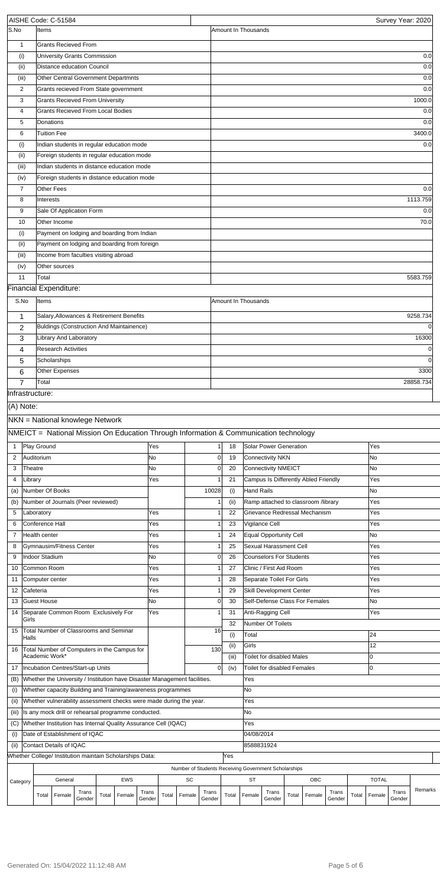|                 |           |                                 | AISHE Code: C-51584                      |                 |       |                                                                                       |                 |       |        |                                                      |       |                     |                                  |       |                                      |                 |       |              | Survey Year: 2020 |               |
|-----------------|-----------|---------------------------------|------------------------------------------|-----------------|-------|---------------------------------------------------------------------------------------|-----------------|-------|--------|------------------------------------------------------|-------|---------------------|----------------------------------|-------|--------------------------------------|-----------------|-------|--------------|-------------------|---------------|
| S.No            |           | <b>Items</b>                    |                                          |                 |       |                                                                                       |                 |       |        |                                                      |       | Amount In Thousands |                                  |       |                                      |                 |       |              |                   |               |
| $\mathbf{1}$    |           |                                 | <b>Grants Recieved From</b>              |                 |       |                                                                                       |                 |       |        |                                                      |       |                     |                                  |       |                                      |                 |       |              |                   |               |
| (i)             |           |                                 | University Grants Commission             |                 |       |                                                                                       |                 |       |        |                                                      |       |                     |                                  |       |                                      |                 |       |              |                   | 0.0           |
| (ii)            |           |                                 | Distance education Council               |                 |       |                                                                                       |                 |       |        |                                                      |       |                     |                                  |       |                                      |                 |       |              |                   | 0.0           |
| (iii)           |           |                                 |                                          |                 |       | Other Central Government Departmnts                                                   |                 |       |        |                                                      |       |                     |                                  |       |                                      |                 |       |              |                   | 0.0           |
| 2               |           |                                 |                                          |                 |       | Grants recieved From State government                                                 |                 |       |        |                                                      |       |                     |                                  |       |                                      |                 |       |              |                   | 0.0           |
| 3               |           |                                 | <b>Grants Recieved From University</b>   |                 |       |                                                                                       |                 |       |        |                                                      |       |                     |                                  |       |                                      |                 |       |              |                   | 1000.0        |
| 4               |           |                                 | <b>Grants Recieved From Local Bodies</b> |                 |       |                                                                                       |                 |       |        |                                                      |       |                     |                                  |       |                                      |                 |       |              |                   | 0.0           |
| 5<br>6          |           | Donations<br><b>Tuition Fee</b> |                                          |                 |       |                                                                                       |                 |       |        |                                                      |       |                     |                                  |       |                                      |                 |       |              |                   | 0.0<br>3400.0 |
| (i)             |           |                                 |                                          |                 |       | Indian students in regular education mode                                             |                 |       |        |                                                      |       |                     |                                  |       |                                      |                 |       |              |                   | 0.0           |
| (ii)            |           |                                 |                                          |                 |       | Foreign students in regular education mode                                            |                 |       |        |                                                      |       |                     |                                  |       |                                      |                 |       |              |                   |               |
| (iii)           |           |                                 |                                          |                 |       | Indian students in distance education mode                                            |                 |       |        |                                                      |       |                     |                                  |       |                                      |                 |       |              |                   |               |
| (iv)            |           |                                 |                                          |                 |       | Foreign students in distance education mode                                           |                 |       |        |                                                      |       |                     |                                  |       |                                      |                 |       |              |                   |               |
| $\overline{7}$  |           |                                 | <b>Other Fees</b>                        |                 |       |                                                                                       |                 |       |        |                                                      |       |                     |                                  |       |                                      |                 |       |              |                   | 0.0           |
| 8               |           | Interests                       |                                          |                 |       |                                                                                       |                 |       |        |                                                      |       |                     |                                  |       |                                      |                 |       |              |                   | 1113.759      |
| 9               |           |                                 | Sale Of Application Form                 |                 |       |                                                                                       |                 |       |        |                                                      |       |                     |                                  |       |                                      |                 |       |              |                   | 0.0           |
| 10              |           |                                 | Other Income                             |                 |       |                                                                                       |                 |       |        |                                                      |       |                     |                                  |       |                                      |                 |       |              |                   | 70.0          |
| (i)             |           |                                 |                                          |                 |       | Payment on lodging and boarding from Indian                                           |                 |       |        |                                                      |       |                     |                                  |       |                                      |                 |       |              |                   |               |
| (ii)            |           |                                 |                                          |                 |       | Payment on lodging and boarding from foreign                                          |                 |       |        |                                                      |       |                     |                                  |       |                                      |                 |       |              |                   |               |
| (iii)           |           |                                 | Income from faculties visiting abroad    |                 |       |                                                                                       |                 |       |        |                                                      |       |                     |                                  |       |                                      |                 |       |              |                   |               |
| (iv)            |           |                                 | Other sources                            |                 |       |                                                                                       |                 |       |        |                                                      |       |                     |                                  |       |                                      |                 |       |              |                   |               |
| 11              |           | Total                           |                                          |                 |       |                                                                                       |                 |       |        |                                                      |       |                     |                                  |       |                                      |                 |       |              |                   | 5583.759      |
|                 |           |                                 | Financial Expenditure:                   |                 |       |                                                                                       |                 |       |        |                                                      |       |                     |                                  |       |                                      |                 |       |              |                   |               |
| S.No            |           | Items                           |                                          |                 |       |                                                                                       |                 |       |        |                                                      |       | Amount In Thousands |                                  |       |                                      |                 |       |              |                   |               |
| 1               |           |                                 |                                          |                 |       | Salary, Allowances & Retirement Benefits                                              |                 |       |        |                                                      |       |                     |                                  |       |                                      |                 |       |              |                   | 9258.734      |
| 2               |           |                                 |                                          |                 |       | Buldings (Construction And Maintainence)                                              |                 |       |        |                                                      |       |                     |                                  |       |                                      |                 |       |              |                   | $\Omega$      |
| 3               |           |                                 | Library And Laboratory                   |                 |       |                                                                                       |                 |       |        |                                                      |       |                     |                                  |       |                                      |                 |       |              |                   | 16300         |
| 4               |           |                                 | <b>Research Activities</b>               |                 |       |                                                                                       |                 |       |        |                                                      |       |                     |                                  |       |                                      |                 |       |              |                   | $\Omega$      |
| 5               |           |                                 | Scholarships                             |                 |       |                                                                                       |                 |       |        |                                                      |       |                     |                                  |       |                                      |                 |       |              |                   | $\Omega$      |
| 6               |           |                                 | Other Expenses                           |                 |       |                                                                                       |                 |       |        |                                                      |       |                     |                                  |       |                                      |                 |       |              |                   | 3300          |
| $\overline{7}$  |           | Total                           |                                          |                 |       |                                                                                       |                 |       |        |                                                      |       |                     |                                  |       |                                      |                 |       |              |                   | 28858.734     |
| Infrastructure: |           |                                 |                                          |                 |       |                                                                                       |                 |       |        |                                                      |       |                     |                                  |       |                                      |                 |       |              |                   |               |
| (A) Note:       |           |                                 |                                          |                 |       |                                                                                       |                 |       |        |                                                      |       |                     |                                  |       |                                      |                 |       |              |                   |               |
|                 |           |                                 | NKN = National knowlege Network          |                 |       |                                                                                       |                 |       |        |                                                      |       |                     |                                  |       |                                      |                 |       |              |                   |               |
|                 |           |                                 |                                          |                 |       | NMEICT = National Mission On Education Through Information & Communication technology |                 |       |        |                                                      |       |                     |                                  |       |                                      |                 |       |              |                   |               |
| 1               |           | Play Ground                     |                                          |                 |       |                                                                                       | Yes             |       |        |                                                      | 18    |                     | Solar Power Generation           |       |                                      |                 |       | Yes          |                   |               |
| 2               |           | Auditorium                      |                                          |                 |       |                                                                                       | No              |       |        | $\mathbf 0$                                          | 19    |                     | Connectivity NKN                 |       |                                      |                 |       | No           |                   |               |
| 3               | Theatre   |                                 |                                          |                 |       |                                                                                       | No              |       |        | $\overline{0}$                                       | 20    |                     | Connectivity NMEICT              |       |                                      |                 |       | <b>No</b>    |                   |               |
| 4               | Library   |                                 |                                          |                 |       |                                                                                       | Yes             |       |        |                                                      | 21    |                     |                                  |       | Campus Is Differently Abled Friendly |                 |       | Yes          |                   |               |
| (a)             |           |                                 | Number Of Books                          |                 |       |                                                                                       |                 |       |        | 10028                                                | (i)   | Hand Rails          |                                  |       |                                      |                 |       | <b>No</b>    |                   |               |
| (b)             |           |                                 | Number of Journals (Peer reviewed)       |                 |       |                                                                                       |                 |       |        |                                                      | (ii)  |                     |                                  |       | Ramp attached to classroom /library  |                 |       | Yes          |                   |               |
| 5               |           | Laboratory                      |                                          |                 |       |                                                                                       | Yes             |       |        |                                                      | 22    |                     |                                  |       | Grievance Redressal Mechanism        |                 |       | Yes          |                   |               |
| 6               |           | Conference Hall                 |                                          |                 |       |                                                                                       | Yes             |       |        |                                                      | 23    |                     | Vigilance Cell                   |       |                                      |                 |       | Yes          |                   |               |
| $\overline{7}$  |           | Health center                   |                                          |                 |       |                                                                                       | Yes             |       |        |                                                      | 24    |                     | Equal Opportunity Cell           |       |                                      |                 |       | <b>No</b>    |                   |               |
| 8               |           |                                 | Gymnausim/Fitness Center                 |                 |       |                                                                                       | Yes             |       |        |                                                      | 25    |                     | Sexual Harassment Cell           |       |                                      |                 |       | Yes          |                   |               |
| 9               |           | <b>Indoor Stadium</b>           |                                          |                 |       |                                                                                       | No              |       |        | $\Omega$                                             | 26    |                     | Counselors For Students          |       |                                      |                 |       | Yes          |                   |               |
| 10              |           | Common Room                     |                                          |                 |       |                                                                                       | Yes             |       |        |                                                      | 27    |                     | Clinic / First Aid Room          |       |                                      |                 |       | Yes          |                   |               |
| 11              |           |                                 | Computer center                          |                 |       |                                                                                       | Yes             |       |        |                                                      | 28    |                     | Separate Toilet For Girls        |       |                                      |                 |       | Yes          |                   |               |
| 12              | Cafeteria |                                 |                                          |                 |       |                                                                                       | Yes             |       |        |                                                      | 29    |                     | Skill Development Center         |       |                                      |                 |       | Yes          |                   |               |
| 13              |           | <b>Guest House</b>              |                                          |                 |       |                                                                                       | <b>No</b>       |       |        | $\Omega$                                             | 30    |                     |                                  |       | Self-Defense Class For Females       |                 |       | <b>No</b>    |                   |               |
| 14              | Girls     |                                 | Separate Common Room Exclusively For     |                 |       |                                                                                       | Yes             |       |        |                                                      | 31    |                     | Anti-Ragging Cell                |       |                                      |                 |       | Yes          |                   |               |
| 15              |           |                                 | Total Number of Classrooms and Seminar   |                 |       |                                                                                       |                 |       |        | 16                                                   | 32    |                     | Number Of Toilets                |       |                                      |                 |       |              |                   |               |
|                 | Halls     |                                 |                                          |                 |       |                                                                                       |                 |       |        |                                                      | (i)   | Total               |                                  |       |                                      |                 |       | 24           |                   |               |
| 16              |           |                                 |                                          |                 |       | Total Number of Computers in the Campus for                                           |                 |       |        | 130                                                  | (ii)  | Girls               |                                  |       |                                      |                 |       | 12           |                   |               |
|                 |           | Academic Work*                  |                                          |                 |       |                                                                                       |                 |       |        |                                                      | (iii) |                     | <b>Toilet for disabled Males</b> |       |                                      |                 |       | l0           |                   |               |
|                 |           |                                 | 17  Incubation Centres/Start-up Units    |                 |       |                                                                                       |                 |       |        | 0                                                    | (iv)  |                     | Toilet for disabled Females      |       |                                      |                 |       | l0           |                   |               |
| (B)             |           |                                 |                                          |                 |       | Whether the University / Institution have Disaster Management facilities.             |                 |       |        |                                                      |       | Yes                 |                                  |       |                                      |                 |       |              |                   |               |
| (i)             |           |                                 |                                          |                 |       | Whether capacity Building and Training/awareness programmes                           |                 |       |        |                                                      |       | No.                 |                                  |       |                                      |                 |       |              |                   |               |
| (ii)            |           |                                 |                                          |                 |       | Whether vulnerability assessment checks were made during the year.                    |                 |       |        |                                                      |       | Yes                 |                                  |       |                                      |                 |       |              |                   |               |
| (iii)           |           |                                 |                                          |                 |       | Is any mock drill or rehearsal programme conducted.                                   |                 |       |        |                                                      |       | No.                 |                                  |       |                                      |                 |       |              |                   |               |
| (C)             |           |                                 |                                          |                 |       | Whether Institution has Internal Quality Assurance Cell (IQAC)                        |                 |       |        |                                                      |       | Yes                 |                                  |       |                                      |                 |       |              |                   |               |
| (i)             |           |                                 | Date of Establishment of IQAC            |                 |       |                                                                                       |                 |       |        |                                                      |       | 04/08/2014          |                                  |       |                                      |                 |       |              |                   |               |
| (ii)            |           |                                 | Contact Details of IQAC                  |                 |       | Whether College/ Institution maintain Scholarships Data:                              |                 |       |        |                                                      | Yes   | 8588831924          |                                  |       |                                      |                 |       |              |                   |               |
|                 |           |                                 |                                          |                 |       |                                                                                       |                 |       |        |                                                      |       |                     |                                  |       |                                      |                 |       |              |                   |               |
|                 |           |                                 |                                          |                 |       |                                                                                       |                 |       |        | Number of Students Receiving Government Scholarships |       |                     |                                  |       |                                      |                 |       |              |                   |               |
| Category        |           |                                 | General                                  |                 |       | EWS                                                                                   |                 |       | SC     |                                                      |       | <b>ST</b>           |                                  |       | OBC                                  |                 |       | <b>TOTAL</b> |                   | Remarks       |
|                 |           | Total                           | Female                                   | Trans<br>Gender | Total | Female                                                                                | Trans<br>Gender | Total | Female | Trans<br>Gender                                      | Total | Female              | Trans<br>Gender                  | Total | Female                               | Trans<br>Gender | Total | Female       | Trans<br>Gender   |               |